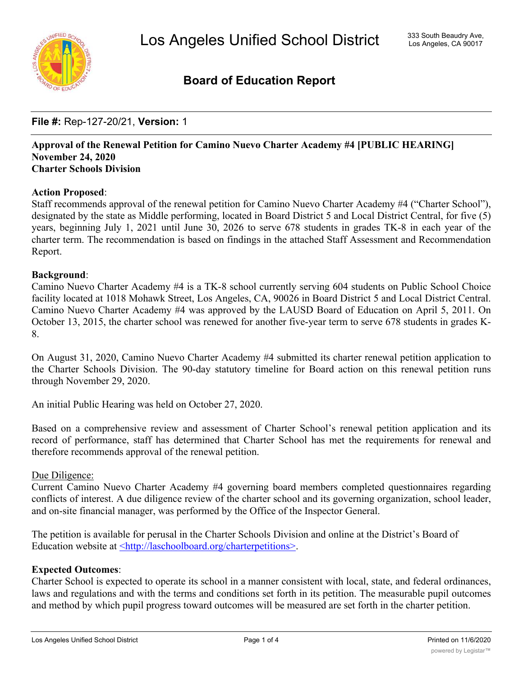

## **Board of Education Report**

### **File #:** Rep-127-20/21, **Version:** 1

#### **Approval of the Renewal Petition for Camino Nuevo Charter Academy #4 [PUBLIC HEARING] November 24, 2020 Charter Schools Division**

#### **Action Proposed**:

Staff recommends approval of the renewal petition for Camino Nuevo Charter Academy #4 ("Charter School"), designated by the state as Middle performing, located in Board District 5 and Local District Central, for five (5) years, beginning July 1, 2021 until June 30, 2026 to serve 678 students in grades TK-8 in each year of the charter term. The recommendation is based on findings in the attached Staff Assessment and Recommendation Report.

#### **Background**:

Camino Nuevo Charter Academy #4 is a TK-8 school currently serving 604 students on Public School Choice facility located at 1018 Mohawk Street, Los Angeles, CA, 90026 in Board District 5 and Local District Central. Camino Nuevo Charter Academy #4 was approved by the LAUSD Board of Education on April 5, 2011. On October 13, 2015, the charter school was renewed for another five-year term to serve 678 students in grades K-8.

On August 31, 2020, Camino Nuevo Charter Academy #4 submitted its charter renewal petition application to the Charter Schools Division. The 90-day statutory timeline for Board action on this renewal petition runs through November 29, 2020.

An initial Public Hearing was held on October 27, 2020.

Based on a comprehensive review and assessment of Charter School's renewal petition application and its record of performance, staff has determined that Charter School has met the requirements for renewal and therefore recommends approval of the renewal petition.

#### Due Diligence:

Current Camino Nuevo Charter Academy #4 governing board members completed questionnaires regarding conflicts of interest. A due diligence review of the charter school and its governing organization, school leader, and on-site financial manager, was performed by the Office of the Inspector General.

The petition is available for perusal in the Charter Schools Division and online at the District's Board of Education website at <http://laschoolboard.org/charterpetitions>.

#### **Expected Outcomes**:

Charter School is expected to operate its school in a manner consistent with local, state, and federal ordinances, laws and regulations and with the terms and conditions set forth in its petition. The measurable pupil outcomes and method by which pupil progress toward outcomes will be measured are set forth in the charter petition.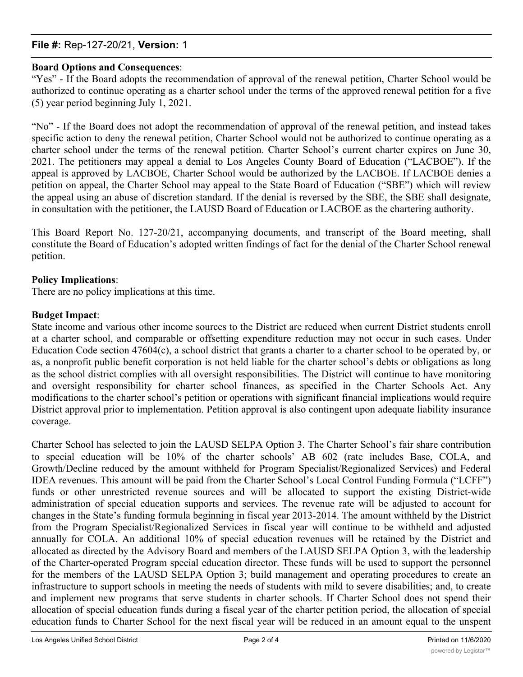### **File #:** Rep-127-20/21, **Version:** 1

#### **Board Options and Consequences**:

"Yes" - If the Board adopts the recommendation of approval of the renewal petition, Charter School would be authorized to continue operating as a charter school under the terms of the approved renewal petition for a five (5) year period beginning July 1, 2021.

"No" - If the Board does not adopt the recommendation of approval of the renewal petition, and instead takes specific action to deny the renewal petition, Charter School would not be authorized to continue operating as a charter school under the terms of the renewal petition. Charter School's current charter expires on June 30, 2021. The petitioners may appeal a denial to Los Angeles County Board of Education ("LACBOE"). If the appeal is approved by LACBOE, Charter School would be authorized by the LACBOE. If LACBOE denies a petition on appeal, the Charter School may appeal to the State Board of Education ("SBE") which will review the appeal using an abuse of discretion standard. If the denial is reversed by the SBE, the SBE shall designate, in consultation with the petitioner, the LAUSD Board of Education or LACBOE as the chartering authority.

This Board Report No. 127-20/21, accompanying documents, and transcript of the Board meeting, shall constitute the Board of Education's adopted written findings of fact for the denial of the Charter School renewal petition.

#### **Policy Implications**:

There are no policy implications at this time.

#### **Budget Impact**:

State income and various other income sources to the District are reduced when current District students enroll at a charter school, and comparable or offsetting expenditure reduction may not occur in such cases. Under Education Code section 47604(c), a school district that grants a charter to a charter school to be operated by, or as, a nonprofit public benefit corporation is not held liable for the charter school's debts or obligations as long as the school district complies with all oversight responsibilities. The District will continue to have monitoring and oversight responsibility for charter school finances, as specified in the Charter Schools Act. Any modifications to the charter school's petition or operations with significant financial implications would require District approval prior to implementation. Petition approval is also contingent upon adequate liability insurance coverage.

Charter School has selected to join the LAUSD SELPA Option 3. The Charter School's fair share contribution to special education will be 10% of the charter schools' AB 602 (rate includes Base, COLA, and Growth/Decline reduced by the amount withheld for Program Specialist/Regionalized Services) and Federal IDEA revenues. This amount will be paid from the Charter School's Local Control Funding Formula ("LCFF") funds or other unrestricted revenue sources and will be allocated to support the existing District-wide administration of special education supports and services. The revenue rate will be adjusted to account for changes in the State's funding formula beginning in fiscal year 2013-2014. The amount withheld by the District from the Program Specialist/Regionalized Services in fiscal year will continue to be withheld and adjusted annually for COLA. An additional 10% of special education revenues will be retained by the District and allocated as directed by the Advisory Board and members of the LAUSD SELPA Option 3, with the leadership of the Charter-operated Program special education director. These funds will be used to support the personnel for the members of the LAUSD SELPA Option 3; build management and operating procedures to create an infrastructure to support schools in meeting the needs of students with mild to severe disabilities; and, to create and implement new programs that serve students in charter schools. If Charter School does not spend their allocation of special education funds during a fiscal year of the charter petition period, the allocation of special education funds to Charter School for the next fiscal year will be reduced in an amount equal to the unspent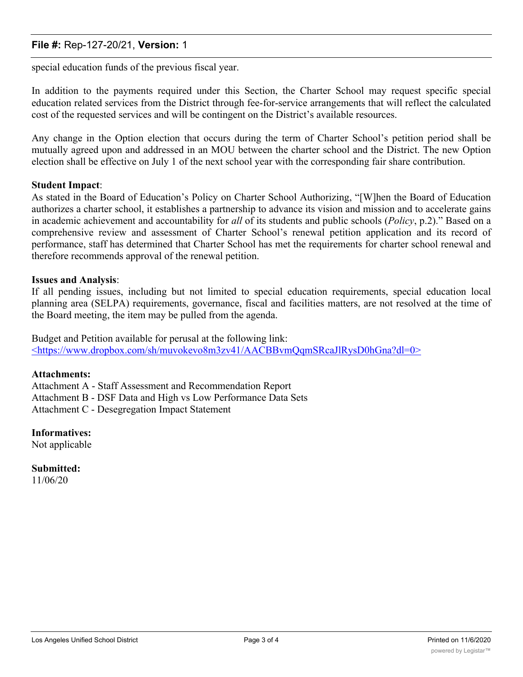### **File #:** Rep-127-20/21, **Version:** 1

special education funds of the previous fiscal year.

In addition to the payments required under this Section, the Charter School may request specific special education related services from the District through fee-for-service arrangements that will reflect the calculated cost of the requested services and will be contingent on the District's available resources.

Any change in the Option election that occurs during the term of Charter School's petition period shall be mutually agreed upon and addressed in an MOU between the charter school and the District. The new Option election shall be effective on July 1 of the next school year with the corresponding fair share contribution.

#### **Student Impact**:

As stated in the Board of Education's Policy on Charter School Authorizing, "[W]hen the Board of Education authorizes a charter school, it establishes a partnership to advance its vision and mission and to accelerate gains in academic achievement and accountability for *all* of its students and public schools (*Policy*, p.2)." Based on a comprehensive review and assessment of Charter School's renewal petition application and its record of performance, staff has determined that Charter School has met the requirements for charter school renewal and therefore recommends approval of the renewal petition.

#### **Issues and Analysis**:

If all pending issues, including but not limited to special education requirements, special education local planning area (SELPA) requirements, governance, fiscal and facilities matters, are not resolved at the time of the Board meeting, the item may be pulled from the agenda.

Budget and Petition available for perusal at the following link: <https://www.dropbox.com/sh/muvokevo8m3zv41/AACBBvmQqmSRcaJlRysD0hGna?dl=0>

#### **Attachments:**

Attachment A - Staff Assessment and Recommendation Report Attachment B - DSF Data and High vs Low Performance Data Sets Attachment C - Desegregation Impact Statement

**Informatives:** Not applicable

**Submitted:** 11/06/20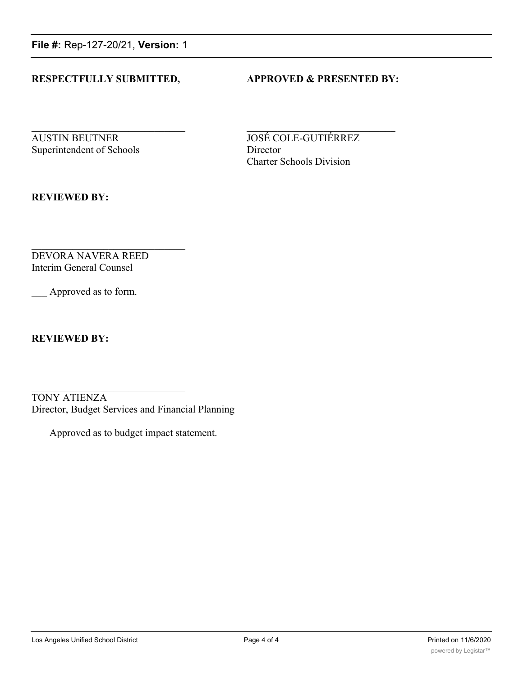**File #:** Rep-127-20/21, **Version:** 1

### **RESPECTFULLY SUBMITTED, APPROVED & PRESENTED BY:**

**AUSTIN BEUTNER JOSÉ COLE-GUTIÉRREZ** Superintendent of Schools Director

Charter Schools Division

**REVIEWED BY:**

DEVORA NAVERA REED Interim General Counsel

Approved as to form.

**REVIEWED BY:**

TONY ATIENZA Director, Budget Services and Financial Planning

\_\_\_ Approved as to budget impact statement.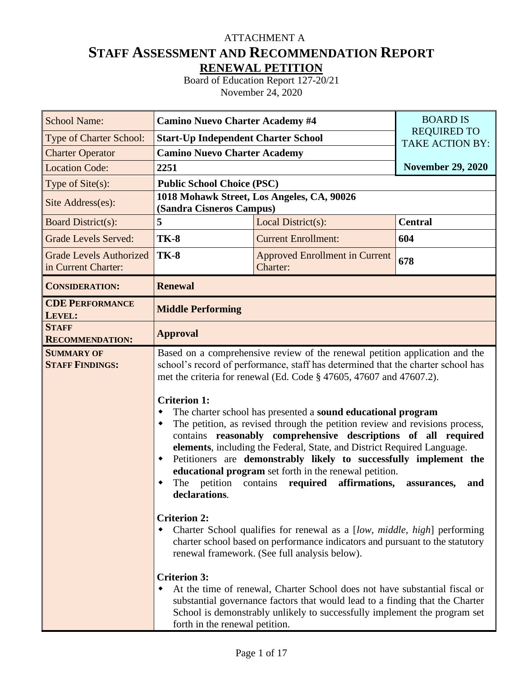## **STAFF ASSESSMENT AND RECOMMENDATION REPORT RENEWAL PETITION** ATTACHMENT A

Board of Education Report 127-20/21 November 24, 2020

| <b>School Name:</b>                                   | <b>Camino Nuevo Charter Academy #4</b>                                                                                                        | <b>BOARD IS</b>                                                                                                                                                                                                                                                                                                                                                                                                                                                                                                                                                                                                                                                                                                                                                                                                                                                                                                                                                                                                                                                                                                                                                           |                          |
|-------------------------------------------------------|-----------------------------------------------------------------------------------------------------------------------------------------------|---------------------------------------------------------------------------------------------------------------------------------------------------------------------------------------------------------------------------------------------------------------------------------------------------------------------------------------------------------------------------------------------------------------------------------------------------------------------------------------------------------------------------------------------------------------------------------------------------------------------------------------------------------------------------------------------------------------------------------------------------------------------------------------------------------------------------------------------------------------------------------------------------------------------------------------------------------------------------------------------------------------------------------------------------------------------------------------------------------------------------------------------------------------------------|--------------------------|
| <b>Type of Charter School:</b>                        | <b>Start-Up Independent Charter School</b>                                                                                                    | <b>REQUIRED TO</b><br><b>TAKE ACTION BY:</b>                                                                                                                                                                                                                                                                                                                                                                                                                                                                                                                                                                                                                                                                                                                                                                                                                                                                                                                                                                                                                                                                                                                              |                          |
| <b>Charter Operator</b>                               | <b>Camino Nuevo Charter Academy</b>                                                                                                           |                                                                                                                                                                                                                                                                                                                                                                                                                                                                                                                                                                                                                                                                                                                                                                                                                                                                                                                                                                                                                                                                                                                                                                           |                          |
| <b>Location Code:</b>                                 | 2251                                                                                                                                          |                                                                                                                                                                                                                                                                                                                                                                                                                                                                                                                                                                                                                                                                                                                                                                                                                                                                                                                                                                                                                                                                                                                                                                           | <b>November 29, 2020</b> |
| Type of Site(s):                                      | <b>Public School Choice (PSC)</b>                                                                                                             |                                                                                                                                                                                                                                                                                                                                                                                                                                                                                                                                                                                                                                                                                                                                                                                                                                                                                                                                                                                                                                                                                                                                                                           |                          |
| Site Address(es):                                     | (Sandra Cisneros Campus)                                                                                                                      | 1018 Mohawk Street, Los Angeles, CA, 90026                                                                                                                                                                                                                                                                                                                                                                                                                                                                                                                                                                                                                                                                                                                                                                                                                                                                                                                                                                                                                                                                                                                                |                          |
| <b>Board District(s):</b>                             | 5                                                                                                                                             | Local District(s):                                                                                                                                                                                                                                                                                                                                                                                                                                                                                                                                                                                                                                                                                                                                                                                                                                                                                                                                                                                                                                                                                                                                                        | <b>Central</b>           |
| <b>Grade Levels Served:</b>                           | <b>TK-8</b>                                                                                                                                   | <b>Current Enrollment:</b>                                                                                                                                                                                                                                                                                                                                                                                                                                                                                                                                                                                                                                                                                                                                                                                                                                                                                                                                                                                                                                                                                                                                                | 604                      |
| <b>Grade Levels Authorized</b><br>in Current Charter: | <b>TK-8</b>                                                                                                                                   | <b>Approved Enrollment in Current</b><br>Charter:                                                                                                                                                                                                                                                                                                                                                                                                                                                                                                                                                                                                                                                                                                                                                                                                                                                                                                                                                                                                                                                                                                                         | 678                      |
| <b>CONSIDERATION:</b>                                 | <b>Renewal</b>                                                                                                                                |                                                                                                                                                                                                                                                                                                                                                                                                                                                                                                                                                                                                                                                                                                                                                                                                                                                                                                                                                                                                                                                                                                                                                                           |                          |
| <b>CDE PERFORMANCE</b><br>LEVEL:                      | <b>Middle Performing</b>                                                                                                                      |                                                                                                                                                                                                                                                                                                                                                                                                                                                                                                                                                                                                                                                                                                                                                                                                                                                                                                                                                                                                                                                                                                                                                                           |                          |
| <b>STAFF</b><br><b>RECOMMENDATION:</b>                | <b>Approval</b>                                                                                                                               |                                                                                                                                                                                                                                                                                                                                                                                                                                                                                                                                                                                                                                                                                                                                                                                                                                                                                                                                                                                                                                                                                                                                                                           |                          |
| <b>SUMMARY OF</b><br><b>STAFF FINDINGS:</b>           | <b>Criterion 1:</b><br>٠<br>٠<br>٠<br>declarations.<br><b>Criterion 2:</b><br>٠<br><b>Criterion 3:</b><br>٠<br>forth in the renewal petition. | Based on a comprehensive review of the renewal petition application and the<br>school's record of performance, staff has determined that the charter school has<br>met the criteria for renewal (Ed. Code § 47605, 47607 and 47607.2).<br>The charter school has presented a sound educational program<br>The petition, as revised through the petition review and revisions process,<br>contains reasonably comprehensive descriptions of all required<br>elements, including the Federal, State, and District Required Language.<br>Petitioners are demonstrably likely to successfully implement the<br>educational program set forth in the renewal petition.<br>The petition contains required affirmations,<br>Charter School qualifies for renewal as a [low, middle, high] performing<br>charter school based on performance indicators and pursuant to the statutory<br>renewal framework. (See full analysis below).<br>At the time of renewal, Charter School does not have substantial fiscal or<br>substantial governance factors that would lead to a finding that the Charter<br>School is demonstrably unlikely to successfully implement the program set | and<br>assurances,       |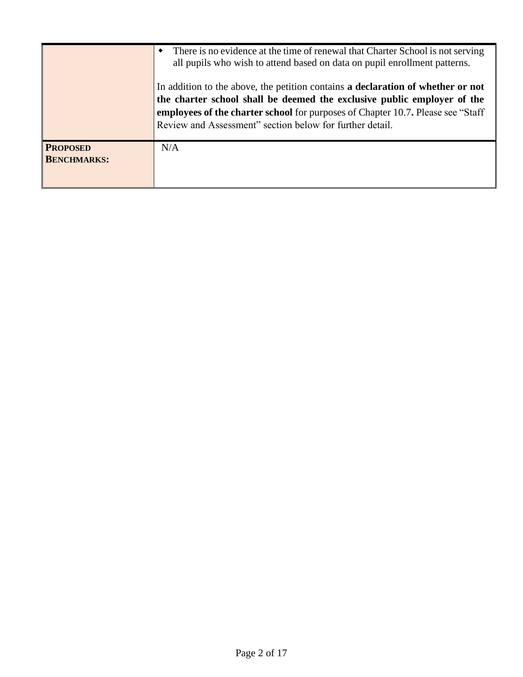|                                       | There is no evidence at the time of renewal that Charter School is not serving<br>all pupils who wish to attend based on data on pupil enrollment patterns.<br>In addition to the above, the petition contains a declaration of whether or not<br>the charter school shall be deemed the exclusive public employer of the<br>employees of the charter school for purposes of Chapter 10.7. Please see "Staff"<br>Review and Assessment" section below for further detail. |
|---------------------------------------|---------------------------------------------------------------------------------------------------------------------------------------------------------------------------------------------------------------------------------------------------------------------------------------------------------------------------------------------------------------------------------------------------------------------------------------------------------------------------|
| <b>PROPOSED</b><br><b>BENCHMARKS:</b> | N/A                                                                                                                                                                                                                                                                                                                                                                                                                                                                       |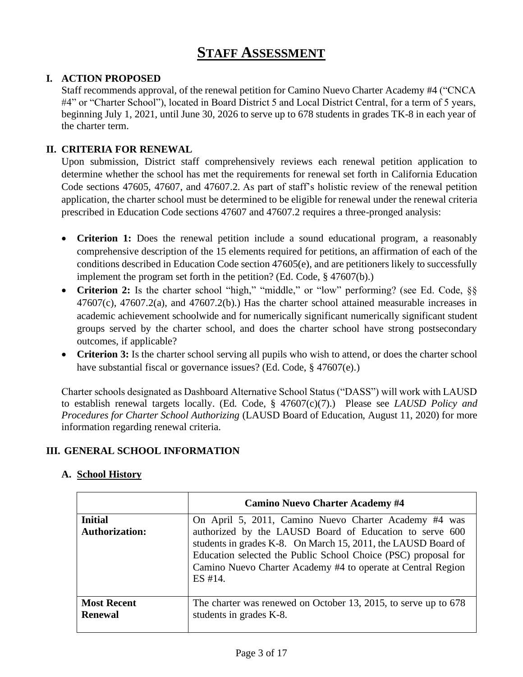# **STAFF ASSESSMENT**

### **I. ACTION PROPOSED**

Staff recommends approval, of the renewal petition for Camino Nuevo Charter Academy #4 ("CNCA #4" or "Charter School"), located in Board District 5 and Local District Central, for a term of 5 years, beginning July 1, 2021, until June 30, 2026 to serve up to 678 students in grades TK-8 in each year of the charter term.

### **II. CRITERIA FOR RENEWAL**

Upon submission, District staff comprehensively reviews each renewal petition application to determine whether the school has met the requirements for renewal set forth in California Education Code sections 47605, 47607, and 47607.2. As part of staff's holistic review of the renewal petition application, the charter school must be determined to be eligible for renewal under the renewal criteria prescribed in Education Code sections 47607 and 47607.2 requires a three-pronged analysis:

- **Criterion 1:** Does the renewal petition include a sound educational program, a reasonably comprehensive description of the 15 elements required for petitions, an affirmation of each of the conditions described in Education Code section 47605(e), and are petitioners likely to successfully implement the program set forth in the petition? (Ed. Code, § 47607(b).)
- Criterion 2: Is the charter school "high," "middle," or "low" performing? (see Ed. Code, §§  $47607(c)$ ,  $47607.2(a)$ , and  $47607.2(b)$ . Has the charter school attained measurable increases in academic achievement schoolwide and for numerically significant numerically significant student groups served by the charter school, and does the charter school have strong postsecondary outcomes, if applicable?
- **Criterion 3:** Is the charter school serving all pupils who wish to attend, or does the charter school have substantial fiscal or governance issues? (Ed. Code, § 47607(e).)

Charter schools designated as Dashboard Alternative School Status ("DASS") will work with LAUSD to establish renewal targets locally. (Ed. Code, § 47607(c)(7).) Please see *LAUSD Policy and Procedures for Charter School Authorizing* (LAUSD Board of Education, August 11, 2020) for more information regarding renewal criteria.

### **III. GENERAL SCHOOL INFORMATION**

### **A. School History**

|                                         | <b>Camino Nuevo Charter Academy #4</b>                                                                                                                                                                                                                                                                                         |
|-----------------------------------------|--------------------------------------------------------------------------------------------------------------------------------------------------------------------------------------------------------------------------------------------------------------------------------------------------------------------------------|
| <b>Initial</b><br><b>Authorization:</b> | On April 5, 2011, Camino Nuevo Charter Academy #4 was<br>authorized by the LAUSD Board of Education to serve 600<br>students in grades K-8. On March 15, 2011, the LAUSD Board of<br>Education selected the Public School Choice (PSC) proposal for<br>Camino Nuevo Charter Academy #4 to operate at Central Region<br>ES #14. |
| <b>Most Recent</b><br><b>Renewal</b>    | The charter was renewed on October 13, 2015, to serve up to 678<br>students in grades K-8.                                                                                                                                                                                                                                     |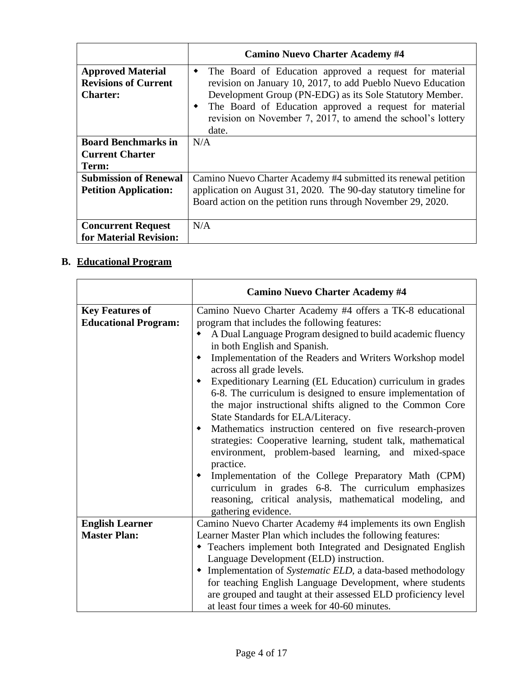|                                                                            | <b>Camino Nuevo Charter Academy #4</b>                                                                                                                                                                                                                                                                                        |
|----------------------------------------------------------------------------|-------------------------------------------------------------------------------------------------------------------------------------------------------------------------------------------------------------------------------------------------------------------------------------------------------------------------------|
| <b>Approved Material</b><br><b>Revisions of Current</b><br><b>Charter:</b> | The Board of Education approved a request for material<br>٠<br>revision on January 10, 2017, to add Pueblo Nuevo Education<br>Development Group (PN-EDG) as its Sole Statutory Member.<br>The Board of Education approved a request for material<br>٠<br>revision on November 7, 2017, to amend the school's lottery<br>date. |
| <b>Board Benchmarks in</b><br><b>Current Charter</b><br>Term:              | N/A                                                                                                                                                                                                                                                                                                                           |
| <b>Submission of Renewal</b><br><b>Petition Application:</b>               | Camino Nuevo Charter Academy #4 submitted its renewal petition<br>application on August 31, 2020. The 90-day statutory timeline for<br>Board action on the petition runs through November 29, 2020.                                                                                                                           |
| <b>Concurrent Request</b><br>for Material Revision:                        | N/A                                                                                                                                                                                                                                                                                                                           |

# **B. Educational Program**

|                             | <b>Camino Nuevo Charter Academy #4</b>                                                                               |
|-----------------------------|----------------------------------------------------------------------------------------------------------------------|
| <b>Key Features of</b>      | Camino Nuevo Charter Academy #4 offers a TK-8 educational                                                            |
| <b>Educational Program:</b> | program that includes the following features:                                                                        |
|                             | A Dual Language Program designed to build academic fluency                                                           |
|                             | in both English and Spanish.                                                                                         |
|                             | Implementation of the Readers and Writers Workshop model<br>across all grade levels.                                 |
|                             | Expeditionary Learning (EL Education) curriculum in grades                                                           |
|                             | 6-8. The curriculum is designed to ensure implementation of                                                          |
|                             | the major instructional shifts aligned to the Common Core                                                            |
|                             | State Standards for ELA/Literacy.                                                                                    |
|                             | Mathematics instruction centered on five research-proven                                                             |
|                             | strategies: Cooperative learning, student talk, mathematical<br>environment, problem-based learning, and mixed-space |
|                             | practice.                                                                                                            |
|                             | Implementation of the College Preparatory Math (CPM)<br>curriculum in grades 6-8. The curriculum emphasizes          |
|                             | reasoning, critical analysis, mathematical modeling, and                                                             |
|                             | gathering evidence.                                                                                                  |
| <b>English Learner</b>      | Camino Nuevo Charter Academy #4 implements its own English                                                           |
| <b>Master Plan:</b>         | Learner Master Plan which includes the following features:                                                           |
|                             | • Teachers implement both Integrated and Designated English                                                          |
|                             | Language Development (ELD) instruction.                                                                              |
|                             | • Implementation of Systematic ELD, a data-based methodology                                                         |
|                             | for teaching English Language Development, where students                                                            |
|                             | are grouped and taught at their assessed ELD proficiency level                                                       |
|                             | at least four times a week for 40-60 minutes.                                                                        |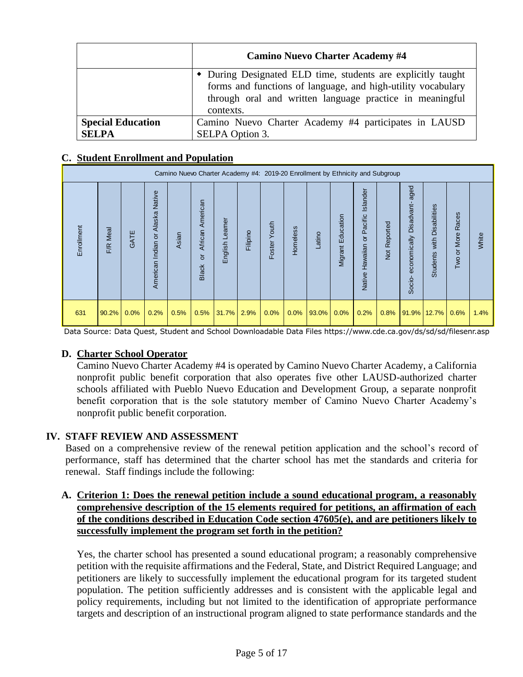|                                          | <b>Camino Nuevo Charter Academy #4</b>                                                                                                                                                                |
|------------------------------------------|-------------------------------------------------------------------------------------------------------------------------------------------------------------------------------------------------------|
|                                          | • During Designated ELD time, students are explicitly taught<br>forms and functions of language, and high-utility vocabulary<br>through oral and written language practice in meaningful<br>contexts. |
| <b>Special Education</b><br><b>SELPA</b> | Camino Nuevo Charter Academy #4 participates in LAUSD<br>SELPA Option 3.                                                                                                                              |

### **C. Student Enrollment and Population**

|                                                                                                                                                                                                                                                                                                                                                                                                                                                                                                                                                                                                                                                                                                                                                                                                                                                                            |          |      |                                  |       |                           | Camino Nuevo Charter Academy #4: 2019-20 Enrollment by Ethnicity and Subgroup |          |              |          |        |                   |                                     |              |                                                                                                                                                                                              |                            |                   |       |
|----------------------------------------------------------------------------------------------------------------------------------------------------------------------------------------------------------------------------------------------------------------------------------------------------------------------------------------------------------------------------------------------------------------------------------------------------------------------------------------------------------------------------------------------------------------------------------------------------------------------------------------------------------------------------------------------------------------------------------------------------------------------------------------------------------------------------------------------------------------------------|----------|------|----------------------------------|-------|---------------------------|-------------------------------------------------------------------------------|----------|--------------|----------|--------|-------------------|-------------------------------------|--------------|----------------------------------------------------------------------------------------------------------------------------------------------------------------------------------------------|----------------------------|-------------------|-------|
| Enrollment                                                                                                                                                                                                                                                                                                                                                                                                                                                                                                                                                                                                                                                                                                                                                                                                                                                                 | F/R Meal | GATE | American Indian or Alaska Native | Asian | Black or African American | English Leamer                                                                | Filipino | Foster Youth | Homeless | Latino | Migrant Education | Native Hawaiian or Pacific Islander | Not Reported | Socio-economically Disadvant-aged                                                                                                                                                            | Students with Disabilities | Two or More Races | White |
| 631                                                                                                                                                                                                                                                                                                                                                                                                                                                                                                                                                                                                                                                                                                                                                                                                                                                                        | 90.2%    | 0.0% | 0.2%                             | 0.5%  | 0.5%                      | 31.7%                                                                         | 2.9%     | 0.0%         | 0.0%     | 93.0%  | 0.0%              | 0.2%                                | 0.8%         | 91.9%                                                                                                                                                                                        | 12.7%                      | 0.6%              | 1.4%  |
| Data Source: Data Quest, Student and School Downloadable Data Files https://www.cde.ca.gov/ds/sd/sd/filesenr.asp<br>D. Charter School Operator<br>Camino Nuevo Charter Academy #4 is operated by Camino Nuevo Charter Academy, a California<br>nonprofit public benefit corporation that also operates five other LAUSD-authorized charter<br>schools affiliated with Pueblo Nuevo Education and Development Group, a separate nonprofit<br>benefit corporation that is the sole statutory member of Camino Nuevo Charter Academy's<br>nonprofit public benefit corporation.<br><b>STAFF REVIEW AND ASSESSMENT</b><br>Based on a comprehensive review of the renewal petition application and the school's record of<br>performance, staff has determined that the charter school has met the standards and criteria for<br>renewal. Staff findings include the following: |          |      |                                  |       |                           |                                                                               |          |              |          |        |                   |                                     |              |                                                                                                                                                                                              |                            |                   |       |
| A. Criterion 1: Does the renewal petition include a sound educational program, a reasonably                                                                                                                                                                                                                                                                                                                                                                                                                                                                                                                                                                                                                                                                                                                                                                                |          |      |                                  |       |                           |                                                                               |          |              |          |        |                   |                                     |              | comprehensive description of the 15 elements required for petitions, an affirmation of each<br>of the conditions described in Education Code section 47605(e), and are petitioners likely to |                            |                   |       |
| successfully implement the program set forth in the petition?<br>Yes, the charter school has presented a sound educational program; a reasonably comprehensive<br>petition with the requisite affirmations and the Federal, State, and District Required Language; and<br>petitioners are likely to successfully implement the educational program for its targeted student<br>population. The petition sufficiently addresses and is consistent with the applicable legal and<br>policy requirements, including but not limited to the identification of appropriate performance<br>targets and description of an instructional program aligned to state performance standards and the                                                                                                                                                                                    |          |      |                                  |       |                           |                                                                               |          |              |          |        |                   |                                     |              |                                                                                                                                                                                              |                            |                   |       |

#### **D. Charter School Operator**

### **IV. STAFF REVIEW AND ASSESSMENT**

### **A. Criterion 1: Does the renewal petition include a sound educational program, a reasonably comprehensive description of the 15 elements required for petitions, an affirmation of each of the conditions described in Education Code section 47605(e), and are petitioners likely to successfully implement the program set forth in the petition?**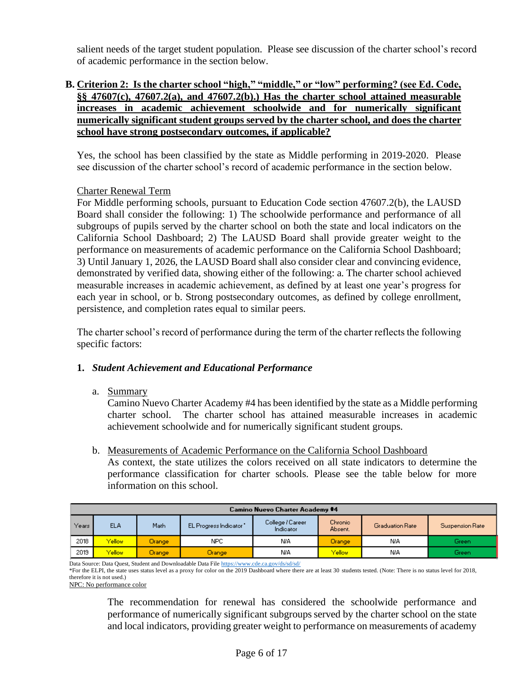salient needs of the target student population. Please see discussion of the charter school's record of academic performance in the section below.

### **B. Criterion 2: Is the charter school "high," "middle," or "low" performing? (see Ed. Code, §§ 47607(c), 47607.2(a), and 47607.2(b).) Has the charter school attained measurable increases in academic achievement schoolwide and for numerically significant numerically significant student groups served by the charter school, and does the charter school have strong postsecondary outcomes, if applicable?**

Yes, the school has been classified by the state as Middle performing in 2019-2020. Please see discussion of the charter school's record of academic performance in the section below.

### Charter Renewal Term

For Middle performing schools, pursuant to Education Code section 47607.2(b), the LAUSD Board shall consider the following: 1) The schoolwide performance and performance of all subgroups of pupils served by the charter school on both the state and local indicators on the California School Dashboard; 2) The LAUSD Board shall provide greater weight to the performance on measurements of academic performance on the California School Dashboard; 3) Until January 1, 2026, the LAUSD Board shall also consider clear and convincing evidence, demonstrated by verified data, showing either of the following: a. The charter school achieved measurable increases in academic achievement, as defined by at least one year's progress for each year in school, or b. Strong postsecondary outcomes, as defined by college enrollment, persistence, and completion rates equal to similar peers.

The charter school's record of performance during the term of the charter reflects the following specific factors:

### **1.** *Student Achievement and Educational Performance*

a. Summary

Camino Nuevo Charter Academy #4 has been identified by the state as a Middle performing charter school. The charter school has attained measurable increases in academic achievement schoolwide and for numerically significant student groups.

b. Measurements of Academic Performance on the California School Dashboard

As context, the state utilizes the colors received on all state indicators to determine the performance classification for charter schools. Please see the table below for more information on this school.

| <b>Camino Nuevo Charter Academy #4</b> |            |          |                       |                               |                    |                        |                 |  |  |  |  |
|----------------------------------------|------------|----------|-----------------------|-------------------------------|--------------------|------------------------|-----------------|--|--|--|--|
| Years                                  | <b>ELA</b> | Math.    | EL Progress Indicator | College / Career<br>Indicator | Chronic<br>Absent. | <b>Graduation Rate</b> | Suspension Rate |  |  |  |  |
| 2018                                   | Yellow     | Orange:  | NPC                   | N/A                           | <b>Orange</b>      | <b>N/A</b>             | Green           |  |  |  |  |
| 2019                                   | Yellow     | Orange / | Orange <sub></sub>    | N/A                           | Yellow             | NIA                    | Green           |  |  |  |  |

Data Source: Data Quest, Student and Downloadable Data Fil[e https://www.cde.ca.gov/ds/sd/sd/](https://www.cde.ca.gov/ds/sd/sd/)

NPC: No performance color

The recommendation for renewal has considered the schoolwide performance and performance of numerically significant subgroups served by the charter school on the state and local indicators, providing greater weight to performance on measurements of academy

<sup>\*</sup>For the ELPI, the state uses status level as a proxy for color on the 2019 Dashboard where there are at least 30 students tested. (Note: There is no status level for 2018, therefore it is not used.)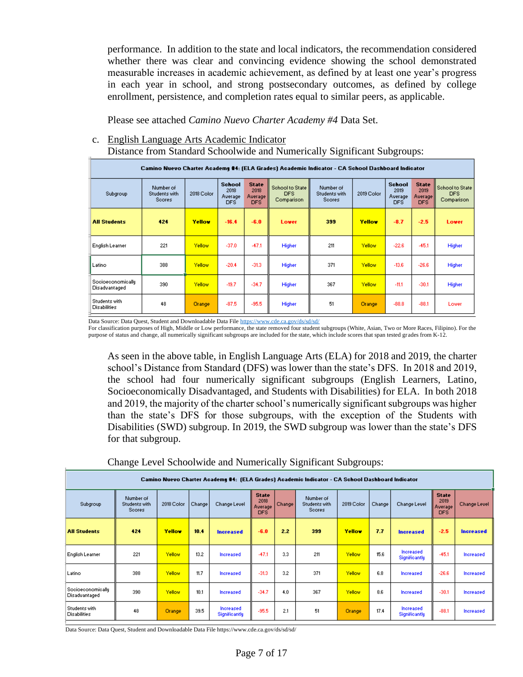performance. In addition to the state and local indicators, the recommendation considered whether there was clear and convincing evidence showing the school demonstrated measurable increases in academic achievement, as defined by at least one year's progress in each year in school, and strong postsecondary outcomes, as defined by college enrollment, persistence, and completion rates equal to similar peers, as applicable.

Please see attached *Camino Nuevo Charter Academy #4* Data Set.

#### c. English Language Arts Academic Indicator

Distance from Standard Schoolwide and Numerically Significant Subgroups:

|                                      | Camino Nuevo Charter Academy #4: (ELA Grades) Academic Indicator - CA School Dashboard Indicator |        |                                   |                                           |                                         |                                             |               |                                   |                                                       |                                       |
|--------------------------------------|--------------------------------------------------------------------------------------------------|--------|-----------------------------------|-------------------------------------------|-----------------------------------------|---------------------------------------------|---------------|-----------------------------------|-------------------------------------------------------|---------------------------------------|
| Subgroup                             | Number of<br>Students with<br><b>Scores</b>                                                      |        | School<br>2018<br>Average<br>DFS. | <b>State</b><br>2018<br>Average  <br>DFS. | School to State  <br>DFS.<br>Comparison | Number of<br>Students with<br><b>Scores</b> | 2019 Color    | School<br>2019<br>Average<br>DFS. | <b>State</b><br>2019<br>Average <sup>[]</sup><br>DFS. | School to State<br>DFS.<br>Comparison |
| <b>All Students</b>                  | 424                                                                                              | Yellow | $-16.4$                           | $-6.0$                                    | Lower                                   | 399                                         | Yellow        | $-8.7$                            | $-2.5$                                                | <b>Lower</b>                          |
| English Learner                      | 221                                                                                              | Yellow | $-37.0$                           | $-47.1$                                   | Higher                                  | 211                                         | Yellow        | $-22.6$                           | $-45.1$                                               | <b>Higher</b>                         |
| Latino                               | 388                                                                                              | Yellow | $-20.4$                           | $-31.3$                                   | Higher                                  | 371                                         | Yellow        | $-13.6$                           | $-26.6$                                               | Higher                                |
| Socioeconomically<br>Disadvantaged   | 390                                                                                              | Yellow | $-19.7$                           | $-34.7$                                   | Higher                                  | 367                                         | Yellow        | $-11.1$                           | $-30.1$                                               | Higher                                |
| Students with<br><b>Disabilities</b> | 48                                                                                               | Orange | $-87.5$                           | $-95.5$                                   | Higher                                  | 51                                          | <b>Orange</b> | $-88.8$                           | $-88.1$                                               | Lower                                 |

Data Source: Data Quest, Student and Downloadable Data Fil[e https://www.cde.ca.gov/ds/sd/sd/](https://www.cde.ca.gov/ds/sd/sd/)

For classification purposes of High, Middle or Low performance, the state removed four student subgroups (White, Asian, Two or More Races, Filipino). For the purpose of status and change, all numerically significant subgroups are included for the state, which include scores that span tested grades from K-12.

As seen in the above table, in English Language Arts (ELA) for 2018 and 2019, the charter school's Distance from Standard (DFS) was lower than the state's DFS. In 2018 and 2019, the school had four numerically significant subgroups (English Learners, Latino, Socioeconomically Disadvantaged, and Students with Disabilities) for ELA. In both 2018 and 2019, the majority of the charter school's numerically significant subgroups was higher than the state's DFS for those subgroups, with the exception of the Students with Disabilities (SWD) subgroup. In 2019, the SWD subgroup was lower than the state's DFS for that subgroup.

Change Level Schoolwide and Numerically Significant Subgroups:

| Camino Nuevo Charter Academy #4: (ELA Grades) Academic Indicator - CA School Dashboard Indicator |                                      |               |        |                                   |                                         |        |                                             |               |        |                            |                                               |              |  |
|--------------------------------------------------------------------------------------------------|--------------------------------------|---------------|--------|-----------------------------------|-----------------------------------------|--------|---------------------------------------------|---------------|--------|----------------------------|-----------------------------------------------|--------------|--|
| Subgroup                                                                                         | Number of<br>Students with<br>Scores | 2018 Color    | Change | Change Level                      | <b>State</b><br>2018<br>Average<br>DFS. | Change | Number of<br>Students with<br><b>Scores</b> | 2019 Color    | Change | Change Level               | <b>State</b><br>2019<br>Average<br><b>DFS</b> | Change Level |  |
| <b>All Students</b>                                                                              | 424                                  | Yellow        | 10.4   | <b>Increased</b>                  | $-6.0$                                  | 2.2    | 399                                         | Yellow        | 7.7    | <b>Increased</b>           | $-2.5$                                        | Increased    |  |
| English Learner                                                                                  | 221                                  | Yellow        | 13.2   | Increased                         | $-47.1$                                 | 3.3    | 211                                         | Yellow        | 15.6   | Increased<br>Significantly | $-45.1$                                       | Increased    |  |
| Latino                                                                                           | 388                                  | Yellow        | 11.7   | <b>Increased</b>                  | $-31.3$                                 | 3.2    | 371                                         | Yellow        | 6.8    | Increased                  | $-26.6$                                       | Increased    |  |
| Socioeconomically<br>Disadvantaged                                                               | 390                                  | Yellow        | 10.1   | <b>Increased</b>                  | $-34.7$                                 | 4.0    | 367                                         | Yellow        | 8.6    | Increased                  | $-30.1$                                       | Increased    |  |
| Students with<br><b>Disabilities</b>                                                             | 48                                   | <b>Orange</b> | 39.5   | Increased<br><b>Significantly</b> | $-95.5$                                 | 2.1    | 51                                          | <b>Orange</b> | 17.4   | Increased<br>Significantly | $-88.1$                                       | Increased    |  |

Data Source: Data Quest, Student and Downloadable Data File https://www.cde.ca.gov/ds/sd/sd/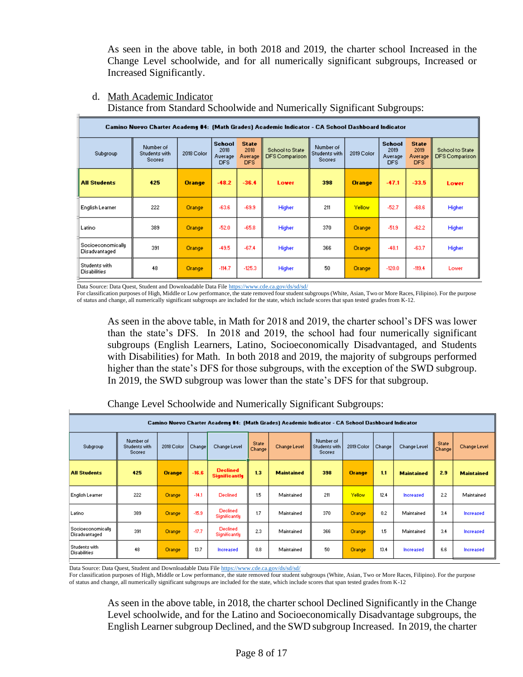As seen in the above table, in both 2018 and 2019, the charter school Increased in the Change Level schoolwide, and for all numerically significant subgroups, Increased or Increased Significantly.

Camino Nuevo Charter Academy #4: (Math Grades) Academic Indicator - CA School Dashboard Indicator School **State** School **State** Number of Number of School to State School to State 2018 2018 2019 2019 Subgroup Students with 2018 Color .<br>Students with 2019 Color Average<br>DFS Average<br>DFS DFS Comparison **DFS Comparison** Average Average Scores Scores DFS DFS All Students 425 398 **Orange** -47.1 **Orange**  $-48.2$  $-36.4$ Lower  $-33.5$ Lower English Learner 222 Orange  $-63.6$ -69.9 Higher 211 Yellow  $-52.7$  $-68.6$ Higher Latino 389  $-52.0$  $-65.8$ Higher 370  $-51.9$  $-62.2$ Higher Orange Orange Socioeconomically 391 Orange -49.5 -67.4 Higher 366  $-48.1$  $-63.7$ Higher Orange Disadvantaged Students with 48 Orange  $-114.7$  $-125.3$ Higher 50 Orange  $-120.0$  $-119.4$ Lower **Disabilities** 

#### d. Math Academic Indicator

Distance from Standard Schoolwide and Numerically Significant Subgroups:

Data Source: Data Quest, Student and Downloadable Data File<https://www.cde.ca.gov/ds/sd/sd/>

For classification purposes of High, Middle or Low performance, the state removed four student subgroups (White, Asian, Two or More Races, Filipino). For the purpose of status and change, all numerically significant subgroups are included for the state, which include scores that span tested grades from K-12.

As seen in the above table, in Math for 2018 and 2019, the charter school's DFS was lower than the state's DFS. In 2018 and 2019, the school had four numerically significant subgroups (English Learners, Latino, Socioeconomically Disadvantaged, and Students with Disabilities) for Math. In both 2018 and 2019, the majority of subgroups performed higher than the state's DFS for those subgroups, with the exception of the SWD subgroup. In 2019, the SWD subgroup was lower than the state's DFS for that subgroup.

|                                      | Camino Nuevo Charter Academy #4: (Math Grades) Academic Indicator - CA School Dashboard Indicator |               |         |                                         |                        |                   |                                      |               |        |                   |                        |                   |  |
|--------------------------------------|---------------------------------------------------------------------------------------------------|---------------|---------|-----------------------------------------|------------------------|-------------------|--------------------------------------|---------------|--------|-------------------|------------------------|-------------------|--|
| Subgroup                             | Number of<br><b>Students with</b><br>Scores                                                       | 2018 Color    | Change  | Change Level                            | <b>State</b><br>Change | Change Level      | Number of<br>Students with<br>Scores | 2019 Color    | Change | Change Level      | <b>State</b><br>Change | Change Level      |  |
| <b>All Students</b>                  | 425                                                                                               | <b>Orange</b> | $-16.6$ | <b>Declined</b><br><b>Significantly</b> | 1.3                    | <b>Maintained</b> | 398                                  | <b>Orange</b> | 1.1    | <b>Maintained</b> | 2.9                    | <b>Maintained</b> |  |
| English Learner                      | 222                                                                                               | <b>Orange</b> | $-14.1$ | Declined                                | 1.5                    | Maintained        | 211                                  | Yellow        | 12.4   | Increased         | 2.2                    | Maintained        |  |
| Latino                               | 389                                                                                               | <b>Orange</b> | $-15.9$ | <b>Declined</b><br>Significantly        | 1.7                    | Maintained        | 370                                  | <b>Orange</b> | 0.2    | Maintained        | 3.4                    | Increased         |  |
| Socioeconomically<br>Disadvantaged   | 391                                                                                               | Orange        | $-17.7$ | <b>Declined</b><br>Significantly        | 2.3                    | Maintained        | 366                                  | Orange        | 1.5    | Maintained        | 3.4                    | Increased         |  |
| Students with<br><b>Disabilities</b> | 48                                                                                                | Orange        | 13.7    | Increased                               | 0.8                    | Maintained        | 50                                   | Orange        | 13.4   | Increased         | 6.6                    | Increased         |  |

Change Level Schoolwide and Numerically Significant Subgroups:

Data Source: Data Quest, Student and Downloadable Data Fil[e https://www.cde.ca.gov/ds/sd/sd/](https://www.cde.ca.gov/ds/sd/sd/)

For classification purposes of High, Middle or Low performance, the state removed four student subgroups (White, Asian, Two or More Races, Filipino). For the purpose of status and change, all numerically significant subgroups are included for the state, which include scores that span tested grades from K-12

As seen in the above table, in 2018, the charter school Declined Significantly in the Change Level schoolwide, and for the Latino and Socioeconomically Disadvantage subgroups, the English Learner subgroup Declined, and the SWD subgroup Increased. In 2019, the charter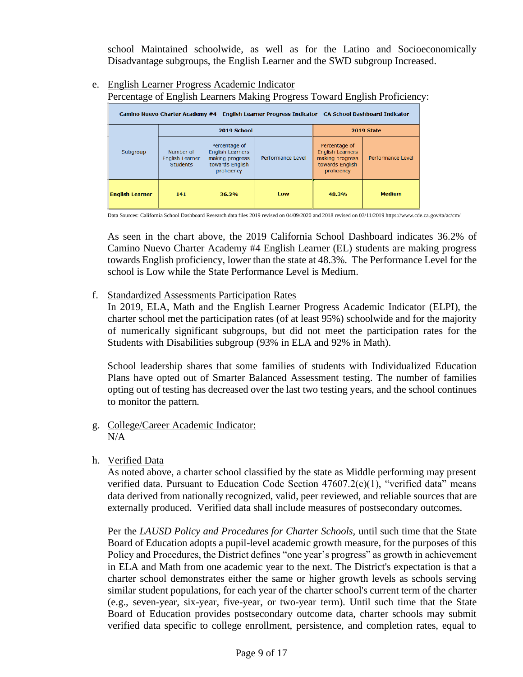school Maintained schoolwide, as well as for the Latino and Socioeconomically Disadvantage subgroups, the English Learner and the SWD subgroup Increased.

e. English Learner Progress Academic Indicator

Percentage of English Learners Making Progress Toward English Proficiency:

| Camino Nuevo Charter Academy #4 - English Learner Progress Indicator - CA School Dashboard Indicator |                                                        |                                                                                               |                   |                                                                                               |                   |  |  |  |  |  |
|------------------------------------------------------------------------------------------------------|--------------------------------------------------------|-----------------------------------------------------------------------------------------------|-------------------|-----------------------------------------------------------------------------------------------|-------------------|--|--|--|--|--|
|                                                                                                      |                                                        | 2019 School                                                                                   | 2019 State        |                                                                                               |                   |  |  |  |  |  |
| Subgroup                                                                                             | Number of<br><b>English Learner</b><br><b>Students</b> | Percentage of<br><b>English Learners</b><br>making progress<br>towards English<br>proficiency | Performance Level | Percentage of<br><b>English Learners</b><br>making progress<br>towards English<br>proficiency | Performance Level |  |  |  |  |  |
| <b>English Learner</b>                                                                               | 141                                                    | 36.2%                                                                                         | <b>Low</b>        | 48.3%                                                                                         | <b>Medium</b>     |  |  |  |  |  |

Data Sources: California School Dashboard Research data files 2019 revised on 04/09/2020 and 2018 revised on 03/11/2019 https://www.cde.ca.gov/ta/ac/cm/

As seen in the chart above, the 2019 California School Dashboard indicates 36.2% of Camino Nuevo Charter Academy #4 English Learner (EL) students are making progress towards English proficiency, lower than the state at 48.3%. The Performance Level for the school is Low while the State Performance Level is Medium.

### f. Standardized Assessments Participation Rates

In 2019, ELA, Math and the English Learner Progress Academic Indicator (ELPI), the charter school met the participation rates (of at least 95%) schoolwide and for the majority of numerically significant subgroups, but did not meet the participation rates for the Students with Disabilities subgroup (93% in ELA and 92% in Math).

School leadership shares that some families of students with Individualized Education Plans have opted out of Smarter Balanced Assessment testing. The number of families opting out of testing has decreased over the last two testing years, and the school continues to monitor the pattern.

- g. College/Career Academic Indicator: N/A
- h. Verified Data

As noted above, a charter school classified by the state as Middle performing may present verified data. Pursuant to Education Code Section 47607.2(c)(1), "verified data" means data derived from nationally recognized, valid, peer reviewed, and reliable sources that are externally produced. Verified data shall include measures of postsecondary outcomes.

Per the *LAUSD Policy and Procedures for Charter Schools,* until such time that the State Board of Education adopts a pupil-level academic growth measure, for the purposes of this Policy and Procedures, the District defines "one year's progress" as growth in achievement in ELA and Math from one academic year to the next. The District's expectation is that a charter school demonstrates either the same or higher growth levels as schools serving similar student populations, for each year of the charter school's current term of the charter (e.g., seven-year, six-year, five-year, or two-year term). Until such time that the State Board of Education provides postsecondary outcome data, charter schools may submit verified data specific to college enrollment, persistence, and completion rates, equal to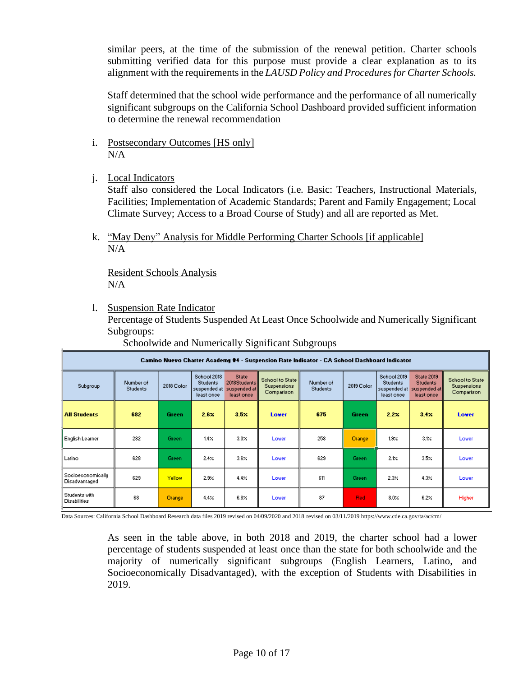similar peers, at the time of the submission of the renewal petition. Charter schools submitting verified data for this purpose must provide a clear explanation as to its alignment with the requirements in the *LAUSD Policy and Procedures for Charter Schools.*

Staff determined that the school wide performance and the performance of all numerically significant subgroups on the California School Dashboard provided sufficient information to determine the renewal recommendation

- i. Postsecondary Outcomes [HS only] N/A
- j. Local Indicators

Staff also considered the Local Indicators (i.e. Basic: Teachers, Instructional Materials, Facilities; Implementation of Academic Standards; Parent and Family Engagement; Local Climate Survey; Access to a Broad Course of Study) and all are reported as Met.

k. "May Deny" Analysis for Middle Performing Charter Schools [if applicable]  $N/A$ 

Resident Schools Analysis  $N/A$ 

l. Suspension Rate Indicator

Percentage of Students Suspended At Least Once Schoolwide and Numerically Significant Subgroups:

Schoolwide and Numerically Significant Subgroups

| Camino Nuevo Charter Academy #4 - Suspension Rate Indicator - CA School Dashboard Indicator |                              |               |                                                               |                                                        |                                                        |                              |               |                                                              |                                                               |                                                     |  |
|---------------------------------------------------------------------------------------------|------------------------------|---------------|---------------------------------------------------------------|--------------------------------------------------------|--------------------------------------------------------|------------------------------|---------------|--------------------------------------------------------------|---------------------------------------------------------------|-----------------------------------------------------|--|
| Subgroup                                                                                    | Number of<br><b>Students</b> | 2018 Color    | School 2018<br><b>Students</b><br>suspended at<br>least once. | State:<br>2018Students<br>suspended at l<br>least once | School to State   <br><b>Suspensions</b><br>Comparison | Number of<br><b>Students</b> | 2019 Color    | School 2019<br><b>Students</b><br>suspended at<br>least once | State 2019<br><b>Students</b><br>suspended at l<br>least once | School to State<br><b>Suspensions</b><br>Comparison |  |
| <b>All Students</b>                                                                         | 682                          | <b>Green</b>  | $2.6\times$                                                   | $3.5\times$                                            | Lower                                                  | 675                          | Green         | $2.2\times$                                                  | 3.4 <sub>X</sub>                                              | Lower                                               |  |
| English Learner                                                                             | 282                          | Green         | $1.4 \times$                                                  | $3.0\%$                                                | Lower                                                  | 258                          | <b>Orange</b> | $1.9\times$                                                  | 3.1%                                                          | Lower                                               |  |
| Latino                                                                                      | 628                          | <b>Green</b>  | 2.4%                                                          | $3.6\%$                                                | Lower                                                  | 629                          | Green         | 2.1%                                                         | $3.5\times$                                                   | Lower                                               |  |
| Socioeconomically<br>Disadvantaged                                                          | 629                          | <b>Yellow</b> | $2.9\times$                                                   | 4.4%                                                   | Lower                                                  | 611                          | Green.        | $2.3\%$                                                      | $4.3\times$                                                   | Lower                                               |  |
| Students with<br><b>Disabilities</b>                                                        | 68                           | Orange        | $4.4 \times$                                                  | $6.8\times$                                            | Lower                                                  | 87                           | <b>Red</b>    | $8.0\times$                                                  | $6.2\times$                                                   | Higher                                              |  |

Data Sources: California School Dashboard Research data files 2019 revised on 04/09/2020 and 2018 revised on 03/11/2019 https://www.cde.ca.gov/ta/ac/cm/

As seen in the table above, in both 2018 and 2019, the charter school had a lower percentage of students suspended at least once than the state for both schoolwide and the majority of numerically significant subgroups (English Learners, Latino, and Socioeconomically Disadvantaged), with the exception of Students with Disabilities in 2019.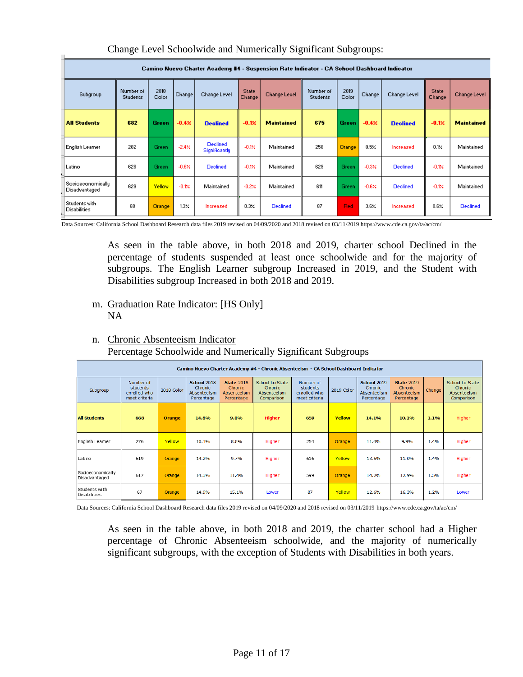|                                      | Camino Nuevo Charter Academy #4 - Suspension Rate Indicator - CA School Dashboard Indicator |               |             |                                  |                        |                   |                              |               |         |                 |                        |                   |  |
|--------------------------------------|---------------------------------------------------------------------------------------------|---------------|-------------|----------------------------------|------------------------|-------------------|------------------------------|---------------|---------|-----------------|------------------------|-------------------|--|
| Subgroup                             | Number of<br><b>Students</b>                                                                | 2018<br>Color | Change      | Change Level                     | <b>State</b><br>Change | Change Level      | Number of<br><b>Students</b> | 2019<br>Color | Change  | Change Level    | <b>State</b><br>Change | Change Level      |  |
| <b>All Students</b>                  | 682                                                                                         | <b>Green</b>  | $-0.42$     | <b>Declined</b>                  | $-0.1%$                | <b>Maintained</b> | 675                          | Green.        | $-0.4%$ | <b>Declined</b> | $-0.1%$                | <b>Maintained</b> |  |
| English Learner                      | 282                                                                                         | Green         | $-2.4%$     | <b>Declined</b><br>Significantly | $-0.1%$                | Maintained        | 258                          | <b>Orange</b> | 0.5%    | Increased       | 0.1%                   | Maintained        |  |
| Latino                               | 628                                                                                         | Green         | $-0.6%$     | <b>Declined</b>                  | $-0.124$               | Maintained        | 629                          | Green         | $-0.3%$ | <b>Declined</b> | $-0.1%$                | Maintained        |  |
| Socioeconomically<br>Disadvantaged   | 629                                                                                         | Yellow        | $-0.1%$     | Maintained                       | $-0.2%$                | Maintained        | 611                          | Green         | $-0.6%$ | <b>Declined</b> | $-0.1%$                | Maintained        |  |
| Students with<br><b>Disabilities</b> | 68                                                                                          | <b>Orange</b> | $1.3\times$ | Increased                        | $0.3\times$            | <b>Declined</b>   | 87                           | <b>Red</b>    | $3.6\%$ | Increased       | $0.6\times$            | <b>Declined</b>   |  |

#### Change Level Schoolwide and Numerically Significant Subgroups:

Data Sources: California School Dashboard Research data files 2019 revised on 04/09/2020 and 2018 revised on 03/11/2019 https://www.cde.ca.gov/ta/ac/cm/

As seen in the table above, in both 2018 and 2019, charter school Declined in the percentage of students suspended at least once schoolwide and for the majority of subgroups. The English Learner subgroup Increased in 2019, and the Student with Disabilities subgroup Increased in both 2018 and 2019.

#### m. Graduation Rate Indicator: [HS Only] NA

 $\blacksquare$ 

### n. Chronic Absenteeism Indicator Percentage Schoolwide and Numerically Significant Subgroups

| Camino Nuevo Charter Academy #4 - Chronic Absenteeism - CA School Dashboard Indicator |                                                        |               |                                                            |                                                           |                                                          |                                                        |            |                                                            |                                                           |        |                                                         |
|---------------------------------------------------------------------------------------|--------------------------------------------------------|---------------|------------------------------------------------------------|-----------------------------------------------------------|----------------------------------------------------------|--------------------------------------------------------|------------|------------------------------------------------------------|-----------------------------------------------------------|--------|---------------------------------------------------------|
| Subgroup                                                                              | Number of<br>students<br>enrolled who<br>meet criteria | 2018 Color    | <b>School 2018</b><br>Chronic<br>Absenteeism<br>Percentage | <b>State 2018</b><br>Chronic<br>Absenteeism<br>Percentage | School to State<br>Chroni c<br>Absenteeism<br>Comparison | Number of<br>students<br>enrolled who<br>meet criteria | 2019 Color | <b>School 2019</b><br>Chronic<br>Absenteeism<br>Percentage | <b>State 2019</b><br>Chronic<br>Absenteeism<br>Percentage | Change | School to State<br>Chronic<br>Absenteeism<br>Comparison |
| <b>All Students</b>                                                                   | 668                                                    | <b>Orange</b> | 14.8%                                                      | 9.0%                                                      | <b>Higher</b>                                            | 659                                                    | Yellow     |                                                            | 10.1%                                                     | 1.1%   | Higher                                                  |
| English Leamer                                                                        | 276                                                    | Yellow        | 10.1%                                                      | 8.6%                                                      | Higher                                                   | 254                                                    | Orange     | 11.4%                                                      | 9.9%                                                      | 1.4%   | Higher                                                  |
| Latino                                                                                | 619                                                    | Orange        | 14.2%                                                      | 9.7%                                                      | Higher                                                   | 616                                                    | Yellow     | 13.5%                                                      | 11.0%                                                     | 1.4%   | Higher                                                  |
| Socioeconomically<br>Disadvantaged                                                    | 617                                                    | Orange        | 14.3%                                                      | 11.4%                                                     | Higher                                                   | 599                                                    | Orange     | 14.2%                                                      | 12.9%                                                     | 1.5%   | Higher                                                  |
| Students with<br>Disabilities                                                         | 67                                                     | Orange        | 14.9%                                                      | 15.1%                                                     | Lower                                                    | 87                                                     | Yellow     | 12.6%                                                      | 16.3%                                                     | 1.2%   | Lower                                                   |

Data Sources: California School Dashboard Research data files 2019 revised on 04/09/2020 and 2018 revised on 03/11/2019 https://www.cde.ca.gov/ta/ac/cm/

As seen in the table above, in both 2018 and 2019, the charter school had a Higher percentage of Chronic Absenteeism schoolwide, and the majority of numerically significant subgroups, with the exception of Students with Disabilities in both years.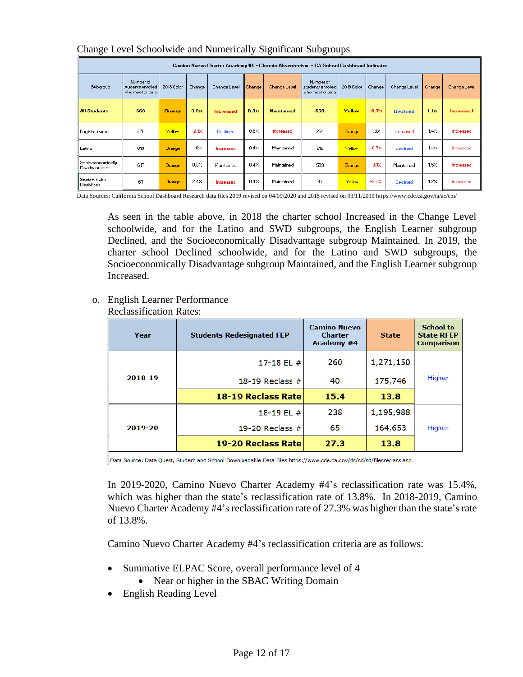|                                      | Camino Nuevo Charter Academy #4 - Chronic Absenteeism  - CA School Dashboard Indicator |               |         |                  |                        |                   |                                                     |            |             |                 |             |                  |
|--------------------------------------|----------------------------------------------------------------------------------------|---------------|---------|------------------|------------------------|-------------------|-----------------------------------------------------|------------|-------------|-----------------|-------------|------------------|
| Subgroup                             | Number of<br>students enrolled<br>who meet criteria                                    | 2018 Color    | Change  | Change Level     | Change<br>Change Level |                   | Number of<br>students enrolled<br>who meet criteria | 2019 Color | Change      | Change Level    | Change      | Change Level     |
| <b>All Students</b>                  | 668                                                                                    | <b>Orange</b> | 0.32.   | <b>Increased</b> | 0.32.                  | <b>Maintained</b> | 659                                                 | Yellow     | $-0.7%$     | <b>Declined</b> | 1.12.       | <b>Increased</b> |
| English Learner                      | 276                                                                                    | Yellow        | $-2.1%$ | Declined         | 0.6%                   | Increased         | 254                                                 | Orange     | $1.3\times$ | Increased       | 1.4%        | Increased        |
| Latino                               | 619                                                                                    | <b>Orange</b> | $1.0\%$ | Increased        | 0.4%                   | Maintained        | 616                                                 | Yellow     | $-0.7%$     | Declined        | 1.4%        | Increased        |
| Socioeconomically<br>Disadvantaged   | 617                                                                                    | <b>Orange</b> | 0.0%    | Maintained       | 0.4%                   | Maintained        | 599                                                 | Orange     | $-0.1%$     | Maintained      | 15%         | Increased        |
| Students with<br><b>Disabilities</b> | 67                                                                                     | <b>Orange</b> | 2.4%    | Increased        | 0.4%                   | Maintained        | 87                                                  | Yellow     | $-2.3%$     | <b>Declined</b> | $1.2\times$ | Increased        |

#### Change Level Schoolwide and Numerically Significant Subgroups

Data Sources: California School Dashboard Research data files 2019 revised on 04/09/2020 and 2018 revised on 03/11/2019 https://www.cde.ca.gov/ta/ac/cm/

As seen in the table above, in 2018 the charter school Increased in the Change Level schoolwide, and for the Latino and SWD subgroups, the English Learner subgroup Declined, and the Socioeconomically Disadvantage subgroup Maintained. In 2019, the charter school Declined schoolwide, and for the Latino and SWD subgroups, the Socioeconomically Disadvantage subgroup Maintained, and the English Learner subgroup Increased.

#### o. English Learner Performance

Reclassification Rates:

| Year    | <b>Students Redesignated FEP</b> | <b>Camino Nuevo</b><br><b>Charter</b><br>Academy #4 | <b>State</b> | <b>School to</b><br><b>State RFEP</b><br><b>Comparison</b> |  |
|---------|----------------------------------|-----------------------------------------------------|--------------|------------------------------------------------------------|--|
|         | 17-18 EL $#$                     | 260                                                 | 1,271,150    |                                                            |  |
| 2018-19 | 18-19 Reclass $#$                | 40                                                  | 175,746      |                                                            |  |
|         | 18-19 Reclass Rate               | 15.4                                                | 13.8         |                                                            |  |
|         | 18-19 EL #                       | 238                                                 | 1,195,988    |                                                            |  |
|         |                                  |                                                     |              |                                                            |  |
| 2019-20 | 19-20 Reclass $#$                | 65                                                  | 164,653      | Higher                                                     |  |
|         | 19-20 Reclass Rate               | 27.3                                                | 13.8         |                                                            |  |

Data Source: Data Quest, Student and School Downloadable Data Files https://www.cde.ca.gov/ds/sd/sd/filesreclass.asp

In 2019-2020, Camino Nuevo Charter Academy #4's reclassification rate was 15.4%, which was higher than the state's reclassification rate of 13.8%. In 2018-2019, Camino Nuevo Charter Academy #4's reclassification rate of 27.3% was higher than the state's rate of 13.8%.

Camino Nuevo Charter Academy #4's reclassification criteria are as follows:

- Summative ELPAC Score, overall performance level of 4
	- Near or higher in the SBAC Writing Domain
- English Reading Level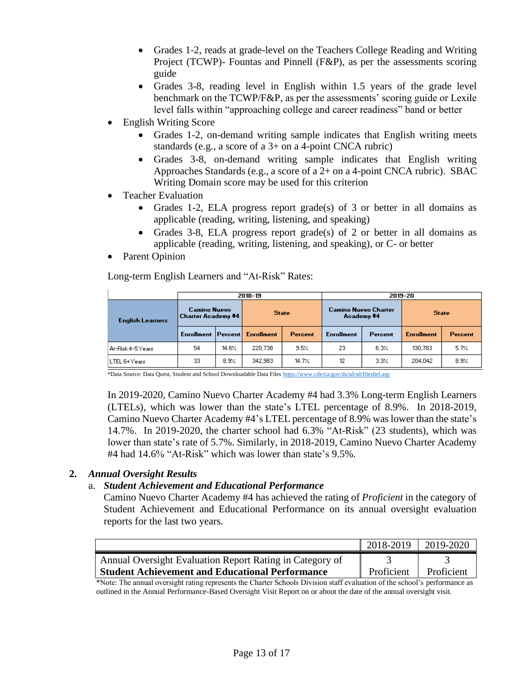- Grades 1-2, reads at grade-level on the Teachers College Reading and Writing Project (TCWP)- Fountas and Pinnell (F&P), as per the assessments scoring guide
- Grades 3-8, reading level in English within 1.5 years of the grade level benchmark on the TCWP/F&P, as per the assessments' scoring guide or Lexile level falls within "approaching college and career readiness" band or better
- English Writing Score
	- Grades 1-2, on-demand writing sample indicates that English writing meets standards (e.g., a score of a 3+ on a 4-point CNCA rubric)
	- Grades 3-8, on-demand writing sample indicates that English writing Approaches Standards (e.g., a score of a 2+ on a 4-point CNCA rubric). SBAC Writing Domain score may be used for this criterion
- Teacher Evaluation
	- Grades 1-2, ELA progress report grade(s) of 3 or better in all domains as applicable (reading, writing, listening, and speaking)
	- Grades 3-8, ELA progress report grade(s) of 2 or better in all domains as applicable (reading, writing, listening, and speaking), or C- or better
- Parent Opinion

Long-term English Learners and "At-Risk" Rates:

|                         |                                                  |       | 2018-19           |         | 2019-20                                   |         |                   |                |  |  |
|-------------------------|--------------------------------------------------|-------|-------------------|---------|-------------------------------------------|---------|-------------------|----------------|--|--|
| <b>English Learners</b> | <b>Camino Nuevo</b><br><b>Charter Academy #4</b> |       | <b>State</b>      |         | <b>Camino Nuevo Charter</b><br>Academy #4 |         | <b>State</b>      |                |  |  |
|                         | Enrollment   Percent                             |       | <b>Enrollment</b> | Percent | <b>Enrollment</b>                         | Percent | <b>Enrollment</b> | <b>Percent</b> |  |  |
| At-Risk 4-5 Years       | 54                                               | 14.6% | 220.738           | 9.5%    | 23                                        | 6.3%    | 130.783           | 5.7%           |  |  |
| LTEL 6+ Years           | 33                                               | 8.9%  | 342,983           | 14.7%   | 12<br>3.3%                                |         | 204,042           | 8.9%           |  |  |

\*Data Source: Data Quest, Student and School Downloadable Data File[s https://www.cde/ca/gov/ds/sd/sd/filesltel.asp](https://www.cde/ca/gov/ds/sd/sd/filesltel.asp)

In 2019-2020, Camino Nuevo Charter Academy #4 had 3.3% Long-term English Learners (LTELs), which was lower than the state's LTEL percentage of 8.9%. In 2018-2019, Camino Nuevo Charter Academy #4's LTEL percentage of 8.9% was lower than the state's 14.7%. In 2019-2020, the charter school had 6.3% "At-Risk" (23 students), which was lower than state's rate of 5.7%. Similarly, in 2018-2019, Camino Nuevo Charter Academy #4 had 14.6% "At-Risk" which was lower than state's 9.5%.

### **2.** *Annual Oversight Results*

### a. *Student Achievement and Educational Performance*

Camino Nuevo Charter Academy #4 has achieved the rating of *Proficient* in the category of Student Achievement and Educational Performance on its annual oversight evaluation reports for the last two years.

|                                                          | 2018-2019  | 2019-2020  |
|----------------------------------------------------------|------------|------------|
| Annual Oversight Evaluation Report Rating in Category of |            |            |
| <b>Student Achievement and Educational Performance</b>   | Proficient | Proficient |

\*Note: The annual oversight rating represents the Charter Schools Division staff evaluation of the school's performance as outlined in the Annual Performance-Based Oversight Visit Report on or about the date of the annual oversight visit.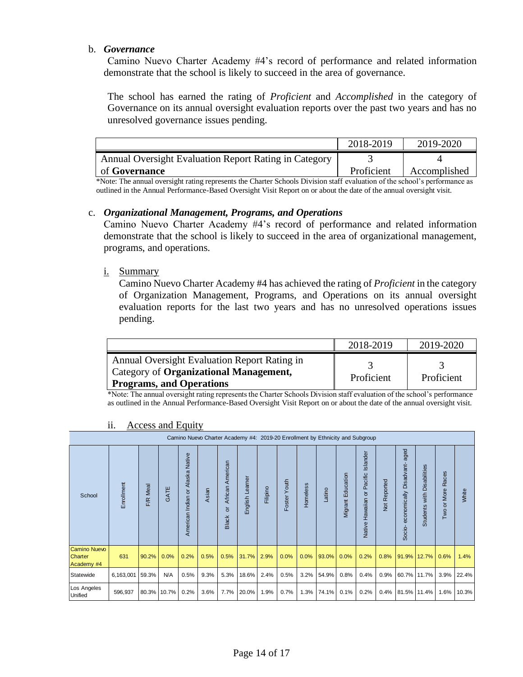#### b. *Governance*

Camino Nuevo Charter Academy #4's record of performance and related information demonstrate that the school is likely to succeed in the area of governance.

The school has earned the rating of *Proficient* and *Accomplished* in the category of Governance on its annual oversight evaluation reports over the past two years and has no unresolved governance issues pending.

|                                                                                                                               | 2018-2019  | 2019-2020    |
|-------------------------------------------------------------------------------------------------------------------------------|------------|--------------|
| Annual Oversight Evaluation Report Rating in Category                                                                         |            |              |
| of Governance                                                                                                                 | Proficient | Accomplished |
| *Note The ennual group of the native represents the Chester Cabools Division staff evaluation of the sake all spenformance as |            |              |

\*Note: The annual oversight rating represents the Charter Schools Division staff evaluation of the school's performance as outlined in the Annual Performance-Based Oversight Visit Report on or about the date of the annual oversight visit.

#### c. *Organizational Management, Programs, and Operations*

Camino Nuevo Charter Academy #4's record of performance and related information demonstrate that the school is likely to succeed in the area of organizational management, programs, and operations.

#### i. Summary

Camino Nuevo Charter Academy #4 has achieved the rating of *Proficient* in the category of Organization Management, Programs, and Operations on its annual oversight evaluation reports for the last two years and has no unresolved operations issues pending.

|                                                                                                                                  | 2018-2019  | 2019-2020  |
|----------------------------------------------------------------------------------------------------------------------------------|------------|------------|
| Annual Oversight Evaluation Report Rating in<br><b>Category of Organizational Management,</b><br><b>Programs, and Operations</b> | Proficient | Proficient |

\*Note: The annual oversight rating represents the Charter Schools Division staff evaluation of the school's performance as outlined in the Annual Performance-Based Oversight Visit Report on or about the date of the annual oversight visit.

|                                                     | Camino Nuevo Charter Academy #4: 2019-20 Enrollment by Ethnicity and Subgroup |          |             |                                                          |       |                                          |                |          |              |          |        |                          |                                     |              |                                              |                                         |                                        |       |
|-----------------------------------------------------|-------------------------------------------------------------------------------|----------|-------------|----------------------------------------------------------|-------|------------------------------------------|----------------|----------|--------------|----------|--------|--------------------------|-------------------------------------|--------------|----------------------------------------------|-----------------------------------------|----------------------------------------|-------|
| School                                              | Enrollment                                                                    | F/R Meal | GATE        | Native<br>Alaska<br>$\overline{5}$<br>Indian<br>American | Asian | American<br>African<br>ă<br><b>Black</b> | English Leamer | Filipino | Foster Youth | Homeless | Latino | ducation<br>ш<br>Migrant | Native Hawaiian or Pacific Islander | Not Reported | aged<br>Disadvant-<br>economically<br>Socio- | Disabilities<br>with<br><b>Students</b> | Races<br>More<br>$\overline{a}$<br>Two | White |
| <b>Camino Nuevo</b><br><b>Charter</b><br>Academy #4 | 631                                                                           | 90.2%    | 0.0%        | 0.2%                                                     | 0.5%  | 0.5%                                     | 31.7%          | 2.9%     | 0.0%         | 0.0%     | 93.0%  | 0.0%                     | 0.2%                                | 0.8%         | 91.9%                                        | 12.7%                                   | 0.6%                                   | 1.4%  |
| Statewide                                           | 6,163,001                                                                     | 59.3%    | N/A         | 0.5%                                                     | 9.3%  | 5.3%                                     | 18.6%          | 2.4%     | 0.5%         | 3.2%     | 54.9%  | 0.8%                     | 0.4%                                | 0.9%         | 60.7%                                        | 11.7%                                   | 3.9%                                   | 22.4% |
| Los Angeles<br>Unified                              | 596,937                                                                       |          | 80.3% 10.7% | 0.2%                                                     | 3.6%  | 7.7%                                     | 20.0%          | 1.9%     | 0.7%         | 1.3%     | 74.1%  | 0.1%                     | 0.2%                                | 0.4%         | 81.5% 11.4%                                  |                                         | 1.6%                                   | 10.3% |

#### ii. Access and Equity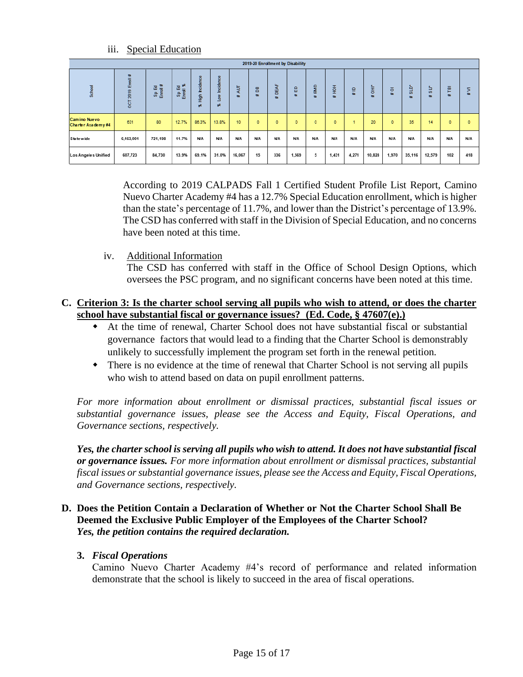|                                           | 2019-20 Enrollment by Disability |              |                   |                     |                       |            |                              |            |                              |                                         |            |                              |                   |                                                |                               |                                                |                                                       |                              |
|-------------------------------------------|----------------------------------|--------------|-------------------|---------------------|-----------------------|------------|------------------------------|------------|------------------------------|-----------------------------------------|------------|------------------------------|-------------------|------------------------------------------------|-------------------------------|------------------------------------------------|-------------------------------------------------------|------------------------------|
| School                                    | Enroll #<br>2019<br><b>S</b>     | æ<br>圕<br>유통 | Sp Ed<br>Enroll % | hcidence<br>흋<br>ß. | Incidence<br>š<br>BR. | ă<br>蚕     | 罟<br>$\overline{\mathbf{a}}$ | DEAF<br>æ. | 읎<br>$\overline{\mathbf{a}}$ | $\mathbf{g}$<br>$\overline{\mathbf{a}}$ | 줄<br>霍     | ≘<br>$\overline{\mathbf{a}}$ | 홍<br>$\mathbf{m}$ | $\overline{\sigma}$<br>$\overline{\mathbf{a}}$ | ġ<br>$\overline{\phantom{a}}$ | ь<br>$\overline{a}$<br>$\overline{\mathbf{a}}$ | $\overline{a}$<br>$\vdash$<br>$\overline{\mathbf{a}}$ | 5<br>$\overline{\mathbf{a}}$ |
| <b>Camino Nuevo</b><br>Charter Academy #4 | 631                              | 80           | 12.7%             | 86.3%               | 13.8%                 | 10         | $\bullet$                    | ٥          | $\circ$                      | $\circ$                                 | $\circ$    |                              | 20                | $\circ$                                        | 35                            | 14                                             | $\circ$                                               | $\circ$                      |
| <b>State wide</b>                         | 6,163,001                        | 721,198      | 11.7%             | <b>N/A</b>          | <b>N/A</b>            | <b>N/A</b> | <b>N/A</b>                   | <b>N/A</b> | <b>N/A</b>                   | N/A                                     | <b>N/A</b> | N/A                          | <b>N/A</b>        | N/A                                            | <b>N/A</b>                    | N/A                                            | <b>N/A</b>                                            | N/A                          |
| <b>Los Angeles Unified</b>                | 607,723                          | 84,730       | 13.9%             | 69.1%               | 31.0%                 | 16,067     | 15                           | 336        | 1,569                        | 5                                       | 1,431      | 4,271                        | 10,828            | 1,970                                          | 35,116                        | 12,579                                         | 102                                                   | 418                          |

According to 2019 CALPADS Fall 1 Certified Student Profile List Report, Camino Nuevo Charter Academy #4 has a 12.7% Special Education enrollment, which is higher than the state's percentage of 11.7%, and lower than the District's percentage of 13.9%. The CSD has conferred with staff in the Division of Special Education, and no concerns have been noted at this time.

iv. Additional Information

The CSD has conferred with staff in the Office of School Design Options, which oversees the PSC program, and no significant concerns have been noted at this time.

### **C. Criterion 3: Is the charter school serving all pupils who wish to attend, or does the charter school have substantial fiscal or governance issues? (Ed. Code, § 47607(e).)**

- At the time of renewal, Charter School does not have substantial fiscal or substantial governance factors that would lead to a finding that the Charter School is demonstrably unlikely to successfully implement the program set forth in the renewal petition.
- There is no evidence at the time of renewal that Charter School is not serving all pupils who wish to attend based on data on pupil enrollment patterns.

*For more information about enrollment or dismissal practices, substantial fiscal issues or substantial governance issues, please see the Access and Equity, Fiscal Operations, and Governance sections, respectively.* 

*Yes, the charter school is serving all pupils who wish to attend. It does not have substantial fiscal or governance issues. For more information about enrollment or dismissal practices, substantial fiscal issues or substantial governance issues, please see the Access and Equity, Fiscal Operations, and Governance sections, respectively.* 

### **D. Does the Petition Contain a Declaration of Whether or Not the Charter School Shall Be Deemed the Exclusive Public Employer of the Employees of the Charter School?**  *Yes, the petition contains the required declaration.*

### **3.** *Fiscal Operations*

Camino Nuevo Charter Academy #4's record of performance and related information demonstrate that the school is likely to succeed in the area of fiscal operations.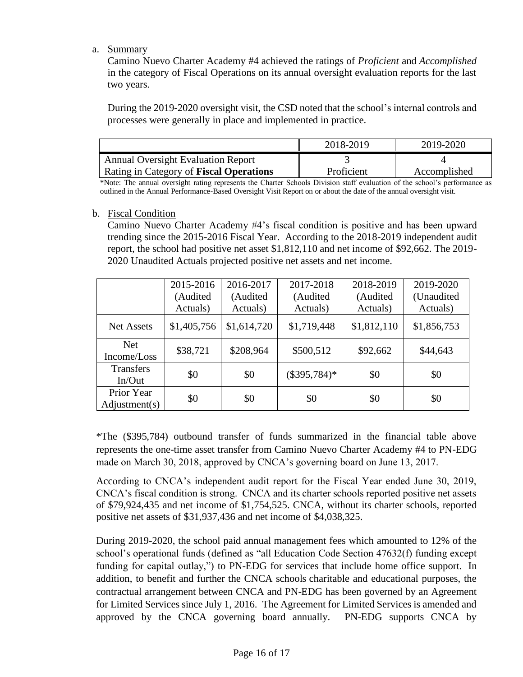### a. Summary

Camino Nuevo Charter Academy #4 achieved the ratings of *Proficient* and *Accomplished* in the category of Fiscal Operations on its annual oversight evaluation reports for the last two years.

During the 2019-2020 oversight visit, the CSD noted that the school's internal controls and processes were generally in place and implemented in practice.

|                                                | 2018-2019  | 2019-2020    |
|------------------------------------------------|------------|--------------|
| <b>Annual Oversight Evaluation Report</b>      |            |              |
| Rating in Category of <b>Fiscal Operations</b> | Proficient | Accomplished |

\*Note: The annual oversight rating represents the Charter Schools Division staff evaluation of the school's performance as outlined in the Annual Performance-Based Oversight Visit Report on or about the date of the annual oversight visit.

#### b. Fiscal Condition

Camino Nuevo Charter Academy #4's fiscal condition is positive and has been upward trending since the 2015-2016 Fiscal Year. According to the 2018-2019 independent audit report, the school had positive net asset \$1,812,110 and net income of \$92,662. The 2019- 2020 Unaudited Actuals projected positive net assets and net income.

|                             | 2015-2016<br>(Audited | 2016-2017<br>(Audited) | 2017-2018<br>(Audited) | 2018-2019<br>(Audited | 2019-2020<br>(Unaudited |
|-----------------------------|-----------------------|------------------------|------------------------|-----------------------|-------------------------|
|                             | Actuals)              | Actuals)               | Actuals)               | Actuals)              | Actuals)                |
| <b>Net Assets</b>           | \$1,405,756           | \$1,614,720            | \$1,719,448            | \$1,812,110           | \$1,856,753             |
| <b>Net</b><br>Income/Loss   | \$38,721              | \$208,964              | \$500,512              | \$92,662              | \$44,643                |
| <b>Transfers</b><br>In/Out  | \$0                   | \$0                    | $(\$395,784)*$         | \$0                   | \$0                     |
| Prior Year<br>Adjustment(s) | \$0                   | \$0                    | \$0                    | \$0                   | \$0                     |

\*The (\$395,784) outbound transfer of funds summarized in the financial table above represents the one-time asset transfer from Camino Nuevo Charter Academy #4 to PN-EDG made on March 30, 2018, approved by CNCA's governing board on June 13, 2017.

According to CNCA's independent audit report for the Fiscal Year ended June 30, 2019, CNCA's fiscal condition is strong. CNCA and its charter schools reported positive net assets of \$79,924,435 and net income of \$1,754,525. CNCA, without its charter schools, reported positive net assets of \$31,937,436 and net income of \$4,038,325.

During 2019-2020, the school paid annual management fees which amounted to 12% of the school's operational funds (defined as "all Education Code Section 47632(f) funding except funding for capital outlay,") to PN-EDG for services that include home office support. In addition, to benefit and further the CNCA schools charitable and educational purposes, the contractual arrangement between CNCA and PN-EDG has been governed by an Agreement for Limited Services since July 1, 2016. The Agreement for Limited Services is amended and approved by the CNCA governing board annually. PN-EDG supports CNCA by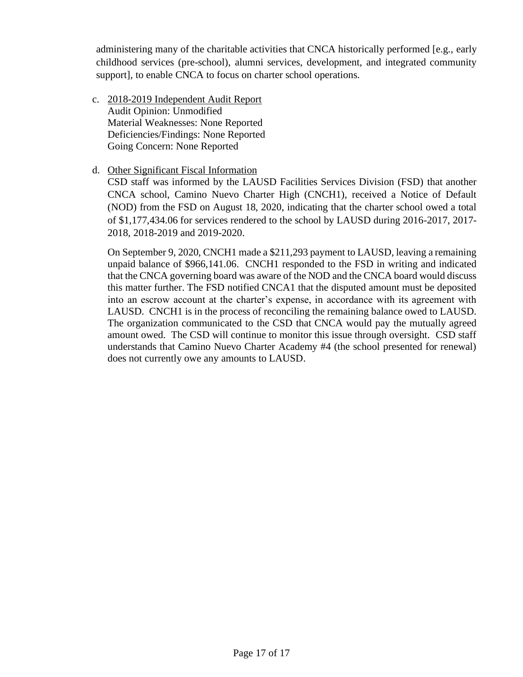administering many of the charitable activities that CNCA historically performed [e.g., early childhood services (pre-school), alumni services, development, and integrated community support], to enable CNCA to focus on charter school operations.

- c. 2018-2019 Independent Audit Report Audit Opinion: Unmodified Material Weaknesses: None Reported Deficiencies/Findings: None Reported Going Concern: None Reported
- d. Other Significant Fiscal Information

CSD staff was informed by the LAUSD Facilities Services Division (FSD) that another CNCA school, Camino Nuevo Charter High (CNCH1), received a Notice of Default (NOD) from the FSD on August 18, 2020, indicating that the charter school owed a total of \$1,177,434.06 for services rendered to the school by LAUSD during 2016-2017, 2017- 2018, 2018-2019 and 2019-2020.

On September 9, 2020, CNCH1 made a \$211,293 payment to LAUSD, leaving a remaining unpaid balance of \$966,141.06. CNCH1 responded to the FSD in writing and indicated that the CNCA governing board was aware of the NOD and the CNCA board would discuss this matter further. The FSD notified CNCA1 that the disputed amount must be deposited into an escrow account at the charter's expense, in accordance with its agreement with LAUSD. CNCH1 is in the process of reconciling the remaining balance owed to LAUSD. The organization communicated to the CSD that CNCA would pay the mutually agreed amount owed. The CSD will continue to monitor this issue through oversight. CSD staff understands that Camino Nuevo Charter Academy #4 (the school presented for renewal) does not currently owe any amounts to LAUSD.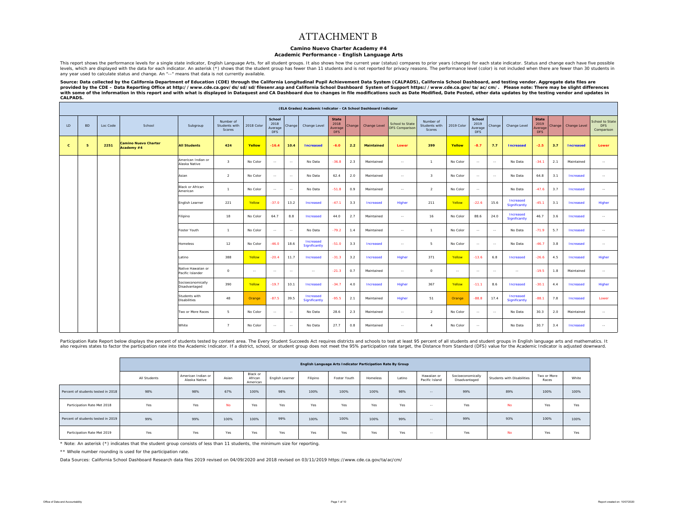#### ATTACHMENT B

#### **Camino Nuevo Charter Academy #4**

#### **Academic Performance - English Language Arts**

This report shows the performance levels for a single state indicator. Fnglish Language Arts, for all student groups, It also shows how the current year (status) compares to prior years (change) for each state indicator. S levels, which are displayed with the data for each indicator. An asterisk (\*) shows that the student group has fewer than 11 students and is not reported for privacy reasons. The performance level (color) is not included w any year used to calculate status and change. An "--" means that data is not currently available.

Source: Data collected by the California Department of Education (CDE) through the California Longitudinal Pupil Achievement Data System (CALPADS), California School Dashboard, and testing vendor. Aggregate data files are provided by the CDE – Data Reporting Office at http://www.cde.ca.gov/ds/sd/sd/filesenr.asp and California School Dashboard System of Support https://www.cde.ca.gov/ta/ac/cm/. Please note: There may be slight differences<br>wi *CALPADS.* 

|              |           |          |                                           |                                        |                                      |            |                                         |               | (ELA Grades) Academic Indicator - CA School Dashboard Indicator |                                        |        |                   |                                          |                                      |            |                                         |        |                            |                                               |        |                  |                                                    |
|--------------|-----------|----------|-------------------------------------------|----------------------------------------|--------------------------------------|------------|-----------------------------------------|---------------|-----------------------------------------------------------------|----------------------------------------|--------|-------------------|------------------------------------------|--------------------------------------|------------|-----------------------------------------|--------|----------------------------|-----------------------------------------------|--------|------------------|----------------------------------------------------|
| LD           | <b>BD</b> | Loc Code | School                                    | Subgroup                               | Number of<br>Students with<br>Scores | 2018 Color | School<br>2018<br>Average<br><b>DFS</b> | Change        | Change Level                                                    | <b>State</b><br>2018<br>Average<br>DFS | Change | Change Level      | School to State<br><b>DFS Comparison</b> | Number of<br>Students with<br>Scores | 2019 Color | School<br>2019<br>Average<br><b>DFS</b> | Change | Change Level               | <b>State</b><br>2019<br>Average<br><b>DFS</b> | Change | Change Level     | <b>School to State</b><br><b>DFS</b><br>Comparison |
| $\mathbf{c}$ | -5        | 2251     | <b>Camino Nuevo Charter</b><br>Academy #4 | <b>All Students</b>                    | 424                                  | Yellow     | $-16.4$                                 | 10.4          | <b>Increased</b>                                                | $-6.0$                                 | 2.2    | <b>Maintained</b> | Lower                                    | 399                                  | Yellow     | $-8.7$                                  | 7.7    | <b>Increased</b>           | $-2.5$                                        | 3.7    | <b>Increased</b> | Lower                                              |
|              |           |          |                                           | American Indian or<br>Alaska Native    | $\mathbf{3}$                         | No Color   | $\sim$                                  | $\sim$        | No Data                                                         | $-36.8$                                | 2.3    | Maintained        | $\sim$ $\sim$                            | $\overline{1}$                       | No Color   | $\sim$                                  | $\sim$ | No Data                    | $-34.1$                                       | 2.1    | Maintained       | $\sim$                                             |
|              |           |          |                                           | Asian                                  | <sup>2</sup>                         | No Color   | $\sim$                                  | $\sim$ $\sim$ | No Data                                                         | 62.4                                   | 2.0    | Maintained        | $\sim$                                   | $\mathbf{R}$                         | No Color   | $\sim$                                  | $\sim$ | No Data                    | 64.8                                          | 3.1    | Increased        | $\sim$                                             |
|              |           |          |                                           | <b>Black or African</b><br>American    |                                      | No Color   | $\sim$                                  | $\sim$        | No Data                                                         | $-51.8$                                | 0.9    | Maintained        | $\sim$ $\sim$                            | $\overline{2}$                       | No Color   | $\sim$                                  |        | No Data                    | $-47.6$                                       | 3.7    | Increased        | $\sim$                                             |
|              |           |          |                                           | English Learner                        | 221                                  | Yellow     | $-37.0$                                 | 13.2          | Increased                                                       | $-47.1$                                | 3.3    | Increased         | Higher                                   | 211                                  | Yellow     | $-22.6$                                 | 15.6   | Increased<br>Significantly | $-45.1$                                       | 3.1    | Increased        | Higher                                             |
|              |           |          |                                           | Filipino                               | 18                                   | No Color   | 64.7                                    | 8.8           | Increased                                                       | 44.0                                   | 2.7    | Maintained        | $\sim$                                   | 16                                   | No Color   | 88.6                                    | 24.0   | Increased<br>Significantly | 46.7                                          | 3.6    | Increased        | $\sim$                                             |
|              |           |          |                                           | Foster Youth                           | $\mathbf{1}$                         | No Color   | $\sim$                                  | $\sim$        | No Data                                                         | $-79.2$                                | 1.4    | Maintained        | $\sim$                                   | $\overline{1}$                       | No Color   | $\sim$                                  | $\sim$ | No Data                    | $-71.9$                                       | 5.7    | Increased        | $\sim$                                             |
|              |           |          |                                           | Homeless                               | 12                                   | No Color   | $-46.0$                                 | 18.6          | Increased<br>Significantly                                      | $-51.0$                                | 3.3    | Increased         | $\sim$                                   | 5                                    | No Color   | $\sim$                                  | $\sim$ | No Data                    | $-46.7$                                       | 3.8    | Increased        | $\sim$                                             |
|              |           |          |                                           | Latino                                 | 388                                  | Yellow     | $-20.4$                                 | 11.7          | Increased                                                       | $-31.3$                                | 3.2    | Increased         | Higher                                   | 371                                  | Yellow     | $-13.6$                                 | 6.8    | Increased                  | $-26.6$                                       | 4.5    | Increased        | Higher                                             |
|              |           |          |                                           | Native Hawaiian or<br>Pacific Islander | $\circ$                              | $\sim$     | $\sim$                                  | $\sim$ $\sim$ | $\sim$                                                          | $-21.3$                                | 0.7    | Maintained        | $\sim$ $\sim$                            | $\circ$                              | $\sim$     | $\sim$ $-$                              | $\sim$ | $\sim$ $\sim$              | $-19.5$                                       | 1.8    | Maintained       | $\sim$                                             |
|              |           |          |                                           | Socioeconomically<br>Disadvantaged     | 390                                  | Yellow     | $-19.7$                                 | 10.1          | Increased                                                       | $-34.7$                                | 4.0    | Increased         | Higher                                   | 367                                  | Yellow     | $-11.1$                                 | 8.6    | Increased                  | $-30.1$                                       | 4.4    | Increased        | Higher                                             |
|              |           |          |                                           | Students with<br><b>Disabilities</b>   | 48                                   | Orange     | $-87.5$                                 | 39.5          | Increased<br>Significantly                                      | $-95.5$                                | 2.1    | Maintained        | Higher                                   | 51                                   | Orange     | $-88.8$                                 | 17.4   | Increased<br>Significantly | $-88.1$                                       | 7.8    | Increased        | Lower                                              |
|              |           |          |                                           | Two or More Races                      | -5                                   | No Color   | $\sim$                                  | $\sim$        | No Data                                                         | 28.6                                   | 2.3    | Maintained        | $\sim$                                   | 2                                    | No Color   | $\sim$                                  | $\sim$ | No Data                    | 30.3                                          | 2.0    | Maintained       | $\sim$                                             |
|              |           |          |                                           | White                                  | 7                                    | No Color   | $\sim$                                  | $\sim$        | No Data                                                         | 27.7                                   | 0.8    | Maintained        | $\sim$                                   | $\boldsymbol{A}$                     | No Color   | $\sim$                                  |        | No Data                    | 30.7                                          | 3.4    | Increased        | $\sim$                                             |

Participation Rate Report below displays the percent of students tested by content area. The Every Student Succeeds Act requires districts and schools to test at least 95 percent of all students and students and students a also requires states to factor the participation rate into the Academic Indicator. If a district, school, or student group does not meet the 95% participation rate target, the Distance from Standard (DFS) value for the Aca

|                                    |              |                                     |           |                                 |                 |          | English Language Arts Indicator Participation Rate By Group |          |        |                               |                                    |                            |                      |       |
|------------------------------------|--------------|-------------------------------------|-----------|---------------------------------|-----------------|----------|-------------------------------------------------------------|----------|--------|-------------------------------|------------------------------------|----------------------------|----------------------|-------|
|                                    | All Students | American Indian or<br>Alaska Native | Asian     | Black or<br>African<br>American | English Learner | Filipino | Foster Youth                                                | Homeless | Latino | Hawaiian or<br>Pacific Island | Socioeconomically<br>Disadvantaged | Students with Disabilities | Two or More<br>Races | White |
| Percent of students tested in 2018 | 98%          | 98%                                 | 67%       | 100%                            | 98%             | 100%     | 100%                                                        | 100%     | 98%    | $\sim$ $\sim$                 | 99%                                | 89%                        | 100%                 | 100%  |
| Participation Rate Met 2018        | Yes          | Yes                                 | <b>No</b> | Yes                             | Yes             | Yes      | Yes                                                         | Yes      | Yes    | $\sim$ $-$                    | Yes                                | <b>No</b>                  | Yes                  | Yes   |
| Percent of students tested in 2019 | 99%          | 99%                                 | 100%      | 100%                            | 99%             | 100%     | 100%                                                        | 100%     | 99%    | $\sim$                        | 99%                                | 93%                        | 100%                 | 100%  |
| Participation Rate Met 2019        | Yes          | Yes                                 | Yes       | Yes                             | Yes             | Yes      | Yes                                                         | Yes      | Yes    | $\sim$ $-$                    | Yes                                | <b>No</b>                  | Yes                  | Yes   |

\* Note: An asterisk (\*) indicates that the student group consists of less than 11 students, the minimum size for reporting.

\*\* Whole number rounding is used for the participation rate.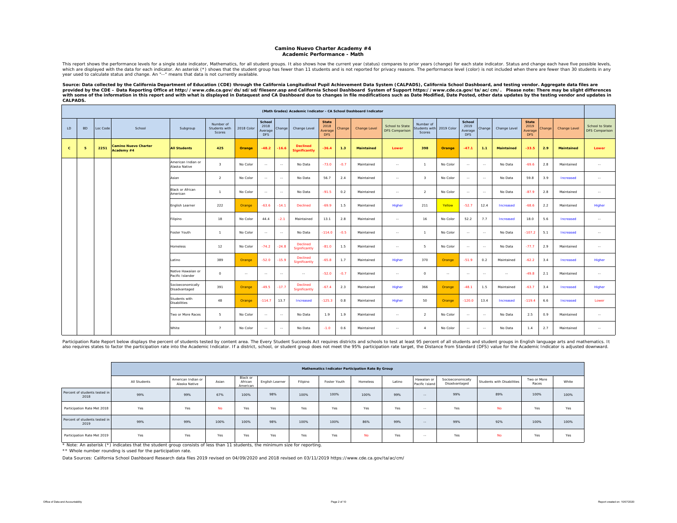#### **Camino Nuevo Charter Academy #4 Academic Performance - Math**

This report shows the performance levels for a single state indicator, Mathematics, for all student groups. It also shows how the current year (status) compares to prior years (change) for each state indicator. Status and which are displayed with the data for each indicator. An asterisk (\*) shows that the student group has fewer than 11 students and is not reported for privacy reasons. The performance level (color) is not included when ther year used to calculate status and change. An "--" means that data is not currently available.

Source: Data collected by the California Department of Education (CDE) through the California Longitudinal Pupil Achievement Data System (CALPADS), California School Dashboard, and testing vendor. Aggregate data files are<br> *CALPADS.* 

|              |           |          |                                           |                                        |                                             |            |                                         |               |                                         |                                        |        | (Math Grades) Academic Indicator - CA School Dashboard Indicator |                                          |                                      |            |                                         |               |                   |                                               |        |                     |                                   |
|--------------|-----------|----------|-------------------------------------------|----------------------------------------|---------------------------------------------|------------|-----------------------------------------|---------------|-----------------------------------------|----------------------------------------|--------|------------------------------------------------------------------|------------------------------------------|--------------------------------------|------------|-----------------------------------------|---------------|-------------------|-----------------------------------------------|--------|---------------------|-----------------------------------|
| LD.          | <b>BD</b> | Loc Code | School                                    | Subgroup                               | Number of<br>Students with<br><b>Scores</b> | 2018 Color | School<br>2018<br>Average<br><b>DFS</b> | Change        | Change Level                            | <b>State</b><br>2018<br>Average<br>DFS | Change | Change Level                                                     | School to State<br><b>DFS Comparison</b> | Number of<br>Students with<br>Scores | 2019 Color | School<br>2019<br>Average<br><b>DFS</b> | Change        | Change Level      | <b>State</b><br>2019<br>Average<br><b>DFS</b> | Change | <b>Change Level</b> | School to State<br>DFS Comparison |
| $\mathbf{C}$ | 5         | 2251     | <b>Camino Nuevo Charter</b><br>Academy #4 | <b>All Students</b>                    | 425                                         | Orange     | $-48.2$                                 | -16.6         | <b>Declined</b><br><b>Significantly</b> | $-36.4$                                | 1.3    | <b>Maintained</b>                                                | Lower                                    | 398                                  | Orange     | $-47.1$                                 | 1.1           | <b>Maintained</b> | $-33.5$                                       | 2.9    | <b>Maintained</b>   | Lower                             |
|              |           |          |                                           | American Indian or<br>Alaska Native    | $\mathbf{R}$                                | No Color   | $\sim$                                  | $\sim$        | No Data                                 | $-73.0$                                | $-0.7$ | Maintained                                                       | $\sim$                                   | $\mathbf{1}$                         | No Color   | $\sim$                                  | $\sim$        | No Data           | $-69.6$                                       | 2.8    | Maintained          | $\sim$                            |
|              |           |          |                                           | Asian                                  | $\overline{2}$                              | No Color   | $\sim$                                  | $\sim$        | No Data                                 | 56.7                                   | 2.4    | Maintained                                                       | $\sim$                                   | $\overline{\mathbf{3}}$              | No Color   | $\sim$                                  | $\sim$        | No Data           | 59.8                                          | 3.9    | Increased           | $\sim$                            |
|              |           |          |                                           | <b>Black or African</b><br>American    | $\overline{1}$                              | No Color   | $\sim$                                  | $\sim$        | No Data                                 | $-91.5$                                | 0.2    | Maintained                                                       | $\sim$                                   | $\overline{2}$                       | No Color   | $\sim$                                  | $\sim$        | No Data           | $-87.9$                                       | 2.8    | Maintained          | $\sim$                            |
|              |           |          |                                           | English Learner                        | 222                                         | Orange     | $-63.6$                                 | $-14.1$       | Declined                                | $-69.9$                                | 1.5    | Maintained                                                       | Higher                                   | 211                                  | Yellow     | $-52.7$                                 | 12.4          | Increased         | $-68.6$                                       | 2.2    | Maintained          | Higher                            |
|              |           |          |                                           | Filipino                               | 18                                          | No Color   | 44.4                                    | $-2.1$        | Maintained                              | 13.1                                   | 2.8    | Maintained                                                       | $\sim$ $-$                               | 16                                   | No Color   | 52.2                                    | 7.7           | Increased         | 18.0                                          | 5.6    | Increased           | $\sim$                            |
|              |           |          |                                           | Foster Youth                           | $\overline{1}$                              | No Color   | $\sim$                                  | $\sim$        | No Data                                 | $-114.0$                               | $-0.5$ | Maintained                                                       | $\sim$                                   | $\mathbf{1}$                         | No Color   | $\sim$                                  | $\sim$ $\sim$ | No Data           | $-107.2$                                      | 5.1    | Increased           | $\sim$                            |
|              |           |          |                                           | Homeless                               | 12                                          | No Color   | $-74.2$                                 | $-24.8$       | Declined<br>Significantly               | $-81.0$                                | 1.5    | Maintained                                                       | $\sim$                                   | 5                                    | No Color   | $\sim$                                  | $\sim$        | No Data           | $-77.7$                                       | 2.9    | Maintained          | $\sim$                            |
|              |           |          |                                           | Latino                                 | 389                                         | Orange     | $-52.0$                                 | $-15.9$       | Declined<br>Significantly               | $-65.8$                                | 1.7    | Maintained                                                       | Higher                                   | 370                                  | Orange     | $-51.9$                                 | 0.2           | Maintained        | $-62.2$                                       | 3.4    | Increased           | Higher                            |
|              |           |          |                                           | Native Hawaiian or<br>Pacific Islander | $\circ$                                     | $\sim$ $-$ | $\sim$                                  | $\sim$        | $\sim$                                  | $-52.0$                                | $-0.7$ | Maintained                                                       | $\sim$ $\sim$                            | $\circ$                              | $\sim$     | $\sim$ $\sim$                           | $\sim$ $\sim$ | $\sim$ $\sim$     | $-49.8$                                       | 2.1    | Maintained          | $\sim$ $\sim$                     |
|              |           |          |                                           | Socioeconomically<br>Disadvantaged     | 391                                         | Orange     | $-49.5$                                 | $-17.7$       | Declined<br>Significantly               | $-67.4$                                | 2.3    | Maintained                                                       | Higher                                   | 366                                  | Orange     | $-48.1$                                 | 1.5           | Maintained        | $-63.7$                                       | 3.4    | Increased           | Higher                            |
|              |           |          |                                           | Students with<br><b>Disabilities</b>   | 48                                          | Orange     | $-114.7$                                | 13.7          | Increased                               | $-125.3$                               | 0.8    | Maintained                                                       | Higher                                   | 50                                   | Orange     | $-120.0$                                | 13.4          | Increased         | $-119.4$                                      | 6.6    | Increased           | Lower                             |
|              |           |          |                                           | Two or More Races                      | $\overline{a}$                              | No Color   | $\sim$ $\sim$                           | $\sim$ $\sim$ | No Data                                 | 1.9                                    | 1.9    | Maintained                                                       | $\sim$                                   | $\overline{a}$                       | No Color   | $\sim$                                  | $\sim$ $\sim$ | No Data           | 2.5                                           | 0.9    | Maintained          | $\sim$                            |
|              |           |          |                                           | White                                  | $\overline{7}$                              | No Color   | $\sim$                                  | $\sim$        | No Data                                 | $-1.0$                                 | 0.6    | Maintained                                                       | $\sim$                                   | $\overline{4}$                       | No Color   | $\sim$                                  | $\sim$        | No Data           | 1.4                                           | 2.7    | Maintained          | $\sim$                            |

Participation Rate Report below displays the percent of students tested by content area. The Every Student Succeeds Act requires districts and schools to test at least 95 percent of all students and student groups in Engli also requires states to factor the participation rate into the Academic Indicator. If a district, school, or student group does not meet the 95% participation rate target, the Distance from Standard (DFS) value for the Aca

|                                       |              |                                     |           |                                 |                 |          | Mathematics Indicator Participation Rate By Group |           |        |                               |                                    |                            |                      |       |
|---------------------------------------|--------------|-------------------------------------|-----------|---------------------------------|-----------------|----------|---------------------------------------------------|-----------|--------|-------------------------------|------------------------------------|----------------------------|----------------------|-------|
|                                       | All Students | American Indian or<br>Alaska Native | Asian     | Black or<br>African<br>American | English Learner | Filipino | Foster Youth                                      | Homeless  | Latino | Hawaiian or<br>Pacific Island | Socioeconomically<br>Disadvantaged | Students with Disabilities | Two or More<br>Races | White |
| Percent of students tested in<br>2018 | 99%          | 99%                                 | 67%       | 100%                            | 98%             | 100%     | 100%                                              | 100%      | 99%    | $\frac{1}{2}$                 | 99%                                | 89%                        | 100%                 | 100%  |
| Participation Rate Met 2018           | Yes          | Yes                                 | <b>No</b> | <b>Yes</b>                      | Yes             | Yes      | Yes                                               | Yes       | Yes    | $\sim$ $-$                    | Yes                                | <b>No</b>                  | Yes                  | Yes   |
| Percent of students tested in<br>2019 | 99%          | 99%                                 | 100%      | 100%                            | 98%             | 100%     | 100%                                              | 86%       | 99%    | $\frac{1}{2}$                 | 99%                                | 92%                        | 100%                 | 100%  |
| Participation Rate Met 2019           | Yes          | Yes                                 | Yes       | Yes                             | Yes             | Yes      | Yes                                               | <b>No</b> | Yes    | $\sim$ $-$                    | Yes                                | <b>No</b>                  | Yes                  | Yes   |

\* Note: An asterisk (\*) indicates that the student group consists of less than 11 students, the minimum size for reporting.

\*\* Whole number rounding is used for the participation rate.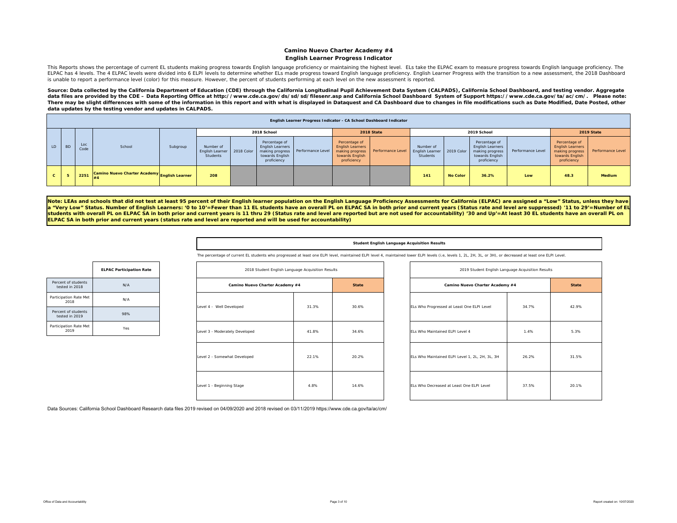#### **Camino Nuevo Charter Academy #4 English Learner Progress Indicator**

This Reports shows the percentage of current EL students making progress towards English language proficiency or maintaining the highest level. ELs take the ELPAC exam to measure progress towards English language proficien ELPAC has 4 levels. The 4 ELPAC levels were divided into 6 ELPI levels to determine whether ELs made progress toward English language proficiency. English Learner Progress with the transition to a new assessment, the 2018 is unable to report a performance level (color) for this measure. However, the percent of students performing at each level on the new assessment is reported.

Source: Data collected by the California Department of Education (CDE) through the California Longitudinal Pupil Achievement Data System (CALPADS), California School Dashboard, and testing vendor. Aggregate data files are provided by the CDE – Data Reporting Office at http://www.cde.ca.gov/ds/sd/sd/filesenr.asp and California School Dashboard System of Support https://www.cde.ca.gov/ta/ac/cm/. Please note: There may be slight differences with some of the information in this report and with what is displayed in Dataquest and CA Dashboard due to changes in file modifications such as Date Modified, Date Posted, other *data updates by the testing vendor and updates in CALPADS.* 

|              |           |             |                                              |          |                                                     |                                                                            |                                     |                                                                                               | English Learner Progress Indicator - CA School Dashboard Indicator |                                                 |                 |                                                                                               |                   |                                                                                               |                   |
|--------------|-----------|-------------|----------------------------------------------|----------|-----------------------------------------------------|----------------------------------------------------------------------------|-------------------------------------|-----------------------------------------------------------------------------------------------|--------------------------------------------------------------------|-------------------------------------------------|-----------------|-----------------------------------------------------------------------------------------------|-------------------|-----------------------------------------------------------------------------------------------|-------------------|
|              |           |             |                                              |          |                                                     | 2018 School                                                                |                                     |                                                                                               | 2018 State                                                         |                                                 |                 | 2019 School                                                                                   |                   |                                                                                               | 2019 State        |
| LD           | <b>BD</b> | Loc<br>Code | School                                       | Subgroup | Number of<br>English Learner 2018 Color<br>Students | Percentage of<br><b>English Learners</b><br>towards English<br>proficiency | making progress   Performance Level | Percentage of<br><b>English Learners</b><br>making progress<br>towards English<br>proficiency | Performance Level                                                  | Number of<br><b>English Learner</b><br>Students | 2019 Color      | Percentage of<br><b>English Learners</b><br>making progress<br>towards English<br>proficiency | Performance Level | Percentage of<br><b>English Learners</b><br>making progress<br>towards English<br>proficiency | Performance Level |
| $\mathbf{c}$ |           | 2251        | Camino Nuevo Charter Academy English Learner |          | 208                                                 |                                                                            |                                     |                                                                                               |                                                                    | 141                                             | <b>No Color</b> | 36.2%                                                                                         | Low               | 48.3                                                                                          | Medium            |

Note: LEAs and schools that did not test at least 95 percent of their English learner population on the English Language Proficiency Assessments for California (ELPAC) are assigned a "Low" Status, unless they have **<sup>a</sup>"Very Low" Status. Number of English Learners: '0 to 10'=Fewer than 11 EL students have an overall PL on ELPAC SA in both prior and current years (Status rate and level are suppressed) '11 to 29'=Number of EL students with overall PL on ELPAC SA in both prior and current years is 11 thru 29 (Status rate and level are reported but are not used for accountability) '30 and Up'=At least 30 EL students have an overall PL on ELPAC SA in both prior and current years (status rate and level are reported and will be used for accountability)** 

#### **Student English Language Acquisition Results**

The percentage of current EL students who progressed at least one ELPI level, maintained ELPI level 4, maintained lower ELPI level (i.e, levels 1, 2L, 2H, 3L, or 3H), or decreased at least one ELPI Level.

|                                       | <b>ELPAC Participation Rate</b> |
|---------------------------------------|---------------------------------|
| Percent of students<br>tested in 2018 | N/A                             |
| Participation Rate Met<br>2018        | N/A                             |
| Percent of students<br>tested in 2019 | 98%                             |
| Participation Rate Met<br>2019        | Yes                             |

| 2018 Student English Language Acquisition Results |       |              |
|---------------------------------------------------|-------|--------------|
| Camino Nuevo Charter Academy #4                   |       | <b>State</b> |
| Level 4 - Well Developed                          | 31.3% | 30.6%        |
| Level 3 - Moderately Developed                    | 41.8% | 34.6%        |
| Level 2 - Somewhat Developed                      | 22.1% | 20.2%        |
| Level 1 - Beginning Stage                         | 4.8%  | 14.6%        |

| 2018 Student English Language Acquisition Results |       |              | 2019 Student English Language Acquisition Results |       |              |
|---------------------------------------------------|-------|--------------|---------------------------------------------------|-------|--------------|
| Camino Nuevo Charter Academy #4                   |       | <b>State</b> | Camino Nuevo Charter Academy #4                   |       | <b>State</b> |
| veloped                                           | 31.3% | 30.6%        | ELs Who Progressed at Least One ELPI Level        | 34.7% | 42.9%        |
| ely Developed                                     | 41.8% | 34.6%        | ELs Who Maintained ELPI Level 4                   | 1.4%  | 5.3%         |
| at Developed                                      | 22.1% | 20.2%        | ELs Who Maintained ELPI Level 1, 2L, 2H, 3L, 3H   | 26.2% | 31.5%        |
| ng Stage                                          | 4.8%  | 14.6%        | ELs Who Decreased at Least One ELPI Level         | 37.5% | 20.1%        |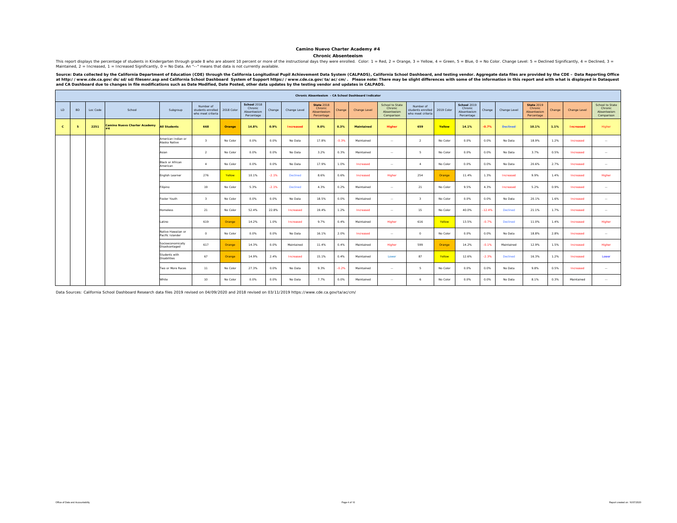#### **Camino Nuevo Charter Academy #4**

#### **Chronic Absenteeism**

This report displays the percentage of students in Kindergarten through grade 8 who are absent 10 percent or more of the instructional days they were enrolled. Color: 1 = Red, 2 = Orange, 3 = Yellow, 4 = Green, 5 = Blue, 0 Maintained, 2 = Increased, 1 = Increased Significantly, 0 = No Data. An "--" means that data is not currently available.

Source: Data collected by the California Department of Education (CDE) through the California Longitudinal Pupil Achievement Data System (CALPADS), California School Dashboard, and testing vendor. Aggregate data files are

|              |           |          |                                           |                                        |                                                     |            |                                                     |         |                  |                                                           |         | Chronic Absenteeism - CA School Dashboard Indicator |                                                         |                                                     |            |                                                     |          |                 |                                                           |        |                  |                                                         |
|--------------|-----------|----------|-------------------------------------------|----------------------------------------|-----------------------------------------------------|------------|-----------------------------------------------------|---------|------------------|-----------------------------------------------------------|---------|-----------------------------------------------------|---------------------------------------------------------|-----------------------------------------------------|------------|-----------------------------------------------------|----------|-----------------|-----------------------------------------------------------|--------|------------------|---------------------------------------------------------|
| LD           | <b>BD</b> | Loc Code | School                                    | Subgroup                               | Number of<br>students enrolled<br>who meet criteria | 2018 Color | School 2018<br>Chronic<br>Absenteeism<br>Percentage | Change  | Change Level     | <b>State 2018</b><br>Chronic<br>Absenteelsm<br>Percentage | Change  | Change Level                                        | School to State<br>Chronic<br>Absenteeism<br>Comparison | Number of<br>students enrolled<br>who meet criteria | 2019 Color | School 2019<br>Chronic<br>Absenteelsm<br>Percentage | Change   | Change Level    | <b>State 2019</b><br>Chronic<br>Absenteeism<br>Percentage | Change | Change Level     | School to State<br>Chronic<br>Absenteeism<br>Comparison |
| $\mathbf{c}$ | 5         | 2251     | <b>Camino Nuevo Charter Academy</b><br>#A | <b>All Students</b>                    | 668                                                 | Orange     | 14.8%                                               | 0.9%    | <b>Increased</b> | 9.0%                                                      | 0.3%    | Maintained                                          | Higher                                                  | 659                                                 | Yellow     | 14.1%                                               | $-0.7%$  | <b>Declined</b> | 10.1%                                                     | 1.1%   | <b>Increased</b> | Higher                                                  |
|              |           |          |                                           | American Indian or<br>Alaska Native    | $\overline{\mathbf{3}}$                             | No Color   | 0.0%                                                | 0.0%    | No Data          | 17.8%                                                     | $-0.3%$ | Maintained                                          | $\sim$ $-$                                              | <sup>2</sup>                                        | No Color   | 0.0%                                                | 0.0%     | No Data         | 18.9%                                                     | 1.2%   | Increased        | $\sim$                                                  |
|              |           |          |                                           | Asian                                  | $\overline{2}$                                      | No Color   | 0.0%                                                | 0.0%    | No Data          | 3.2%                                                      | 0.3%    | Maintained                                          | $\sim$ $\sim$                                           | 5                                                   | No Color   | 0.0%                                                | 0.0%     | No Data         | 3.7%                                                      | 0.5%   | Increased        | $\sim$ $\sim$                                           |
|              |           |          |                                           | Black or African<br>American           | $\sim$                                              | No Color   | 0.0%                                                | 0.0%    | No Data          | 17.9%                                                     | 1.0%    | Increased                                           | $\sim$ $\sim$                                           | $\sim$                                              | No Color   | 0.0%                                                | 0.0%     | No Data         | 20.6%                                                     | 2.7%   | Increased        | $\sim$ $\sim$                                           |
|              |           |          |                                           | English Learner                        | 276                                                 | Yellow     | 10.1%                                               | $-2.1%$ | Declined         | 8.6%                                                      | 0.6%    | Increased                                           | Higher                                                  | 254                                                 | Orange     | 11.4%                                               | 1.3%     | Increased       | 9.9%                                                      | 1.4%   | Increased        | Higher                                                  |
|              |           |          |                                           | Filipino                               | 19                                                  | No Color   | 5.3%                                                | $-2.1%$ | <b>Declined</b>  | 4.3%                                                      | 0.2%    | Maintained                                          | $\sim$                                                  | 21                                                  | No Color   | 9.5%                                                | 4.3%     | Increased       | 5.2%                                                      | 0.9%   | Increased        | $\sim$                                                  |
|              |           |          |                                           | Foster Youth                           | $\mathcal{R}$                                       | No Color   | 0.0%                                                | 0.0%    | No Data          | 18.5%                                                     | 0.0%    | Maintained                                          | $\sim$ $\sim$                                           | $\overline{\mathbf{3}}$                             | No Color   | 0.0%                                                | 0.0%     | No Data         | 20.1%                                                     | 1.6%   | Increased        | $\sim$ $\sim$                                           |
|              |           |          |                                           | Homeless                               | 21                                                  | No Color   | 52.4%                                               | 22.8%   | Increased        | 19.4%                                                     | 1.2%    | Increased                                           | $\sim$                                                  | 15                                                  | No Color   | 40.0%                                               | $-12.4%$ | <b>Declined</b> | 21.1%                                                     | 1.7%   | Increased        | $\sim$                                                  |
|              |           |          |                                           | Latino                                 | 619                                                 | Orange     | 14.2%                                               | 1.0%    | Increased        | 9.7%                                                      | 0.4%    | Maintained                                          | Higher                                                  | 616                                                 | Yellow     | 13.5%                                               | $-0.7%$  | <b>Declined</b> | 11.0%                                                     | 1.4%   | Increased        | Higher                                                  |
|              |           |          |                                           | Native Hawaiian or<br>Pacific Islander | $\Omega$                                            | No Color   | 0.0%                                                | 0.0%    | No Data          | 16.1%                                                     | 2.0%    | Increased                                           | $\sim$ $-$                                              | $\circ$                                             | No Color   | 0.0%                                                | 0.0%     | No Data         | 18.8%                                                     | 2.8%   | Increased        | $\sim$                                                  |
|              |           |          |                                           | Socioeconomically<br>Disadvantaged     | 617                                                 | Orange     | 14.3%                                               | 0.0%    | Maintained       | 11.4%                                                     | 0.4%    | Maintained                                          | Higher                                                  | 599                                                 | Orange     | 14.2%                                               | $-0.1%$  | Maintained      | 12.9%                                                     | 1.5%   | Increased        | Higher                                                  |
|              |           |          |                                           | Students with<br><b>Disabilities</b>   | 67                                                  | Orange     | 14.9%                                               | 2.4%    | Increased        | 15.1%                                                     | 0.4%    | Maintained                                          | Lower                                                   | 87                                                  | Yellow     | 12.6%                                               | $-2.3%$  | <b>Declined</b> | 16.3%                                                     | 1.2%   | Increased        | Lower                                                   |
|              |           |          |                                           | Two or More Races                      | 11                                                  | No Color   | 27.3%                                               | 0.0%    | No Data          | 9.3%                                                      | $-0.2%$ | Maintained                                          | $\sim$ $-$                                              | 5                                                   | No Color   | 0.0%                                                | 0.0%     | No Data         | 9.8%                                                      | 0.5%   | Increased        | $\sim$ $\sim$                                           |
|              |           |          |                                           | White                                  | 10                                                  | No Color   | 0.0%                                                | 0.0%    | No Data          | 7.7%                                                      | 0.0%    | Maintained                                          | $\sim$ $-$                                              | 6                                                   | No Color   | 0.0%                                                | 0.0%     | No Data         | 8.1%                                                      | 0.3%   | Maintained       | $\sim$ $-$                                              |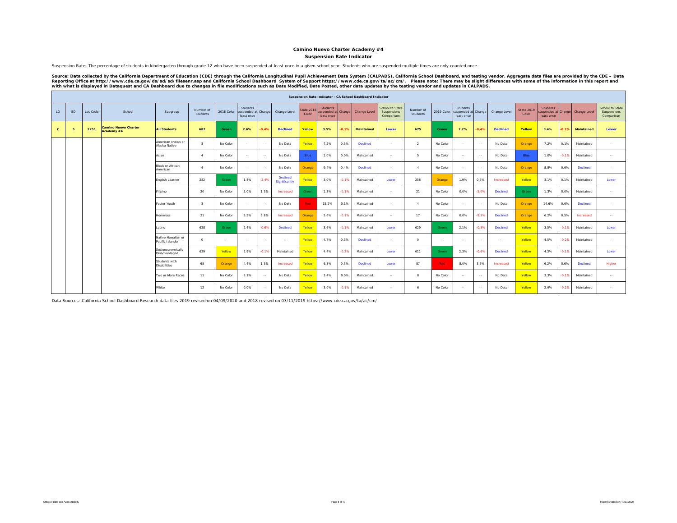#### **Camino Nuevo Charter Academy #4**

#### **Suspension Rate Indicator**

Suspension Rate: The percentage of students in kindergarten through grade 12 who have been suspended at least once in a given school year. Students who are suspended multiple times are only counted once.

Source: Data collected by the California Department of Education (CDE) through the California Longitudinal Pupil Achievement Data System (CALPADS), California School Dashboard, and testing vendor. Aggregate data files are

|              |           |          |                                           |                                        |                         |            |                                               |         |                           |                            |                                               |         | Suspension Rate Indicator - CA School Dashboard Indicator |                                              |                       |            |                                               |                |                 |                            |                               |         |                                  |                                              |
|--------------|-----------|----------|-------------------------------------------|----------------------------------------|-------------------------|------------|-----------------------------------------------|---------|---------------------------|----------------------------|-----------------------------------------------|---------|-----------------------------------------------------------|----------------------------------------------|-----------------------|------------|-----------------------------------------------|----------------|-----------------|----------------------------|-------------------------------|---------|----------------------------------|----------------------------------------------|
| LD           | <b>BD</b> | Loc Code | School                                    | Subgroup                               | Number of<br>Students   | 2018 Color | Students<br>suspended at Change<br>least once |         | Change Level              | <b>State 2018</b><br>Color | <b>Students</b><br>suspended at<br>least once | Change  | Change Level                                              | School to State<br>Suspensions<br>Comparison | Number of<br>Students | 2019 Color | Students<br>suspended at Change<br>least once |                | Change Level    | <b>State 2019</b><br>Color | <b>Students</b><br>least once |         | suspended at Change Change Level | School to State<br>Suspensions<br>Comparison |
| $\mathbf{C}$ |           | 2251     | <b>Camino Nuevo Charter</b><br>Academy #4 | <b>All Students</b>                    | 682                     | Green      | 2.6%                                          | 0.4%    | <b>Declined</b>           | Yellow                     | 3.5%                                          | $-0.1%$ | Maintained                                                | Lower                                        | 675                   | Green      | 2.2%                                          | $-0.4%$        | <b>Declined</b> | Yellow                     | 3.4%                          | $-0.1%$ | <b>Maintained</b>                | Lower                                        |
|              |           |          |                                           | American Indian or<br>Alaska Native    | $\overline{\mathbf{3}}$ | No Color   | $\sim$                                        | $\sim$  | No Data                   | Yellow                     | 7.2%                                          | 0.3%    | Declined                                                  | $\sim$                                       | $\overline{2}$        | No Color   | $\sim$                                        | $\sim$         | No Data         | Orange                     | 7.2%                          | 0.1%    | Maintained                       | <b>Service</b>                               |
|              |           |          |                                           | Asian                                  | $\mathbf{A}$            | No Color   | $\sim$                                        | $\sim$  | No Data                   | Blue                       | 1.0%                                          | 0.0%    | Maintained                                                | $\ddotsc$                                    | 5                     | No Color   | $\sim$                                        | $\sim$         | No Data         | Blue                       | 1.0%                          | $-0.1%$ | Maintained                       | $\sim$                                       |
|              |           |          |                                           | <b>Black or African</b><br>American    | $\mathbf{A}$            | No Color   | $\sim$                                        | $\sim$  | No Data                   | Orange                     | 9.4%                                          | 0.4%    | Declined                                                  | $\sim$                                       | $\mathbf{A}$          | No Color   | $\sim$                                        | $\sim$         | No Data         | Orange                     | 8.8%                          | 0.6%    | <b>Declined</b>                  | $\sim$                                       |
|              |           |          |                                           | English Learner                        | 282                     | Green      | 1.4%                                          | $-2.4%$ | Declined<br>Significantly | Yellow                     | 3.0%                                          | 0.1%    | Maintained                                                | Lower                                        | 258                   | Orange     | 1.9%                                          | 0.5%           | Increased       | Yellow                     | 3.1%                          | 0.1%    | Maintained                       | Lower                                        |
|              |           |          |                                           | Filipino                               | 20                      | No Color   | 5.0%                                          | 1.3%    | Increased                 | Green                      | 1.3%                                          | $-0.1%$ | Maintained                                                | $\sim$                                       | 21                    | No Color   | 0.0%                                          | $-5.0%$        | Declined        | Green                      | 1.3%                          | 0.0%    | Maintained                       | $\sim$                                       |
|              |           |          |                                           | Foster Youth                           | $\mathbf{3}$            | No Color   | $\sim$                                        | $\sim$  | No Data                   | Red                        | 15.2%                                         | 0.1%    | Maintained                                                | $\sim$                                       | $\mathbf{4}$          | No Color   | $\sim$                                        | $\sim$         | No Data         | Orange                     | 14.6%                         | 0.6%    | <b>Declined</b>                  | $\sim$                                       |
|              |           |          |                                           | <b>Homeless</b>                        | 21                      | No Color   | 9.5%                                          | 5.8%    | Increased                 | Orange                     | 5.6%                                          | $-0.1%$ | Maintained                                                | $\sim$                                       | 17                    | No Color   | 0.0%                                          | $-9.5%$        | Declined        | Orange                     | 6.2%                          | 0.5%    | Increased                        | $\sim$                                       |
|              |           |          |                                           | Latino                                 | 628                     | Green      | 2.4%                                          | $-0.6%$ | <b>Declined</b>           | Yellow                     | 3.6%                                          | $-0.1%$ | Maintained                                                | Lower                                        | 629                   | Green      | 2.1%                                          | $-0.3%$        | Declined        | Yellow                     | 3.5%                          | $-0.1%$ | Maintained                       | Lower                                        |
|              |           |          |                                           | Native Hawaiian or<br>Pacific Islander | $^{\circ}$              | $\sim$     | $\sim$                                        | $\sim$  | <b>Service</b>            | Yellow                     | 4.7%                                          | 0.3%    | Declined                                                  | $\sim$                                       | $\Omega$              | $\sim$     | $\sim$                                        | <b>Section</b> | $\sim$ $\sim$   | Yellow                     | 4.5%                          | $-0.2%$ | Maintained                       | <b>Service</b>                               |
|              |           |          |                                           | Socioeconomically<br>Disadvantaged     | 629                     | Yellow     | 2.9%                                          | $-0.1%$ | Maintained                | Yellow                     | 4.4%                                          | $-0.2%$ | Maintained                                                | Lower                                        | 611                   | Green      | 2.3%                                          | $-0.6%$        | Declined        | Yellow                     | 4.3%                          | $-0.1%$ | Maintained                       | Lower                                        |
|              |           |          |                                           | Students with<br><b>Disabilities</b>   | 68                      | Orange     | 4.4%                                          | 1.3%    | Increased                 | Yellow                     | 6.8%                                          | 0.3%    | Declined                                                  | Lower                                        | 87                    | Red.       | 8.0%                                          | 3.6%           | Increased       | Yellow                     | 6.2%                          | 0.6%    | <b>Declined</b>                  | Higher                                       |
|              |           |          |                                           | Two or More Races                      | 11                      | No Color   | 9.1%                                          | $\sim$  | No Data                   | Yellow                     | 3.4%                                          | 0.0%    | Maintained                                                | $\sim$                                       | $\mathbf{R}$          | No Color   | $\sim$                                        | $\sim$         | No Data         | Yellow                     | 3.3%                          | $-0.1%$ | Maintained                       | $\sim$                                       |
|              |           |          |                                           | White                                  | 12                      | No Color   | 0.0%                                          | $\sim$  | No Data                   | Yellow                     | 3.0%                                          | $-0.1%$ | Maintained                                                | $\sim$                                       | 6                     | No Color   | $\sim$                                        | <b>Section</b> | No Data         | Yellow                     | 2.9%                          | $-0.2%$ | Maintained                       | <b>Service</b>                               |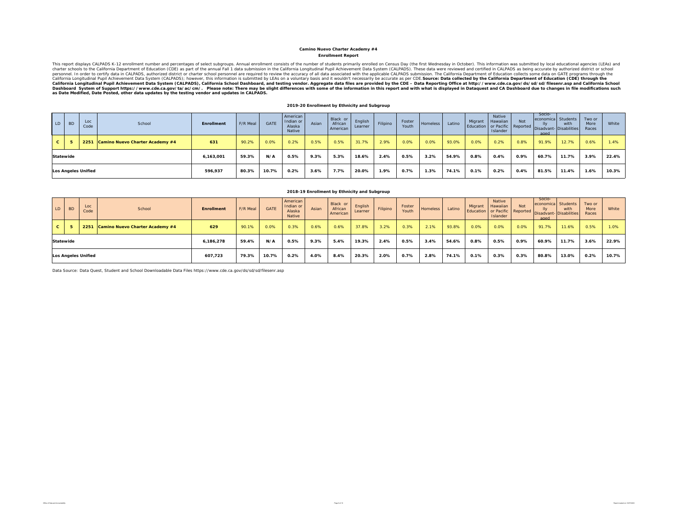#### **Enrollment Report Camino Nuevo Charter Academy #4**

This report displays CALPADS K-12 enrollment number and percentages of select subgroups. Annual enrollment consists of the number of students primarily enrolled on Census Day (the first Wednesday in October). This informat California Longitudinal Pupil Achievement Data System (CALPADS), California School Dashboard, and testing vendor. Aggregate data files are provided by the CDE – Data Reporting Office at http://www.cde.ca.gov/ds/sd/sid/sels

#### **2019-20 Enrollment by Ethnicity and Subgroup**

| LD             | <b>BD</b>        | Loc<br>Code                | School                          | <b>Enrollment</b> | F/R Meal | GATE  | American<br>Indian or<br>Alaska<br>Native | Asian | Black or<br>African<br>American | English<br>Learner | Filipino | Foster<br>Youth | Homeless | Latino | Migrant | Native<br>Hawaiian<br>Islander | <b>Not</b> | Socio-<br>economica Students<br>lly<br>Education or Pacific Reported Disadvant- Disabilities<br>aged | with  | Two or<br>More<br>Races | White |
|----------------|------------------|----------------------------|---------------------------------|-------------------|----------|-------|-------------------------------------------|-------|---------------------------------|--------------------|----------|-----------------|----------|--------|---------|--------------------------------|------------|------------------------------------------------------------------------------------------------------|-------|-------------------------|-------|
| c <sub>1</sub> |                  | 2251                       | Camino Nuevo Charter Academy #4 | 631               | 90.2%    | 0.0%  | 0.2%                                      | 0.5%  | 0.5%                            | 31.7%              | 2.9%     | 0.0%            | 0.0%     | 93.0%  | 0.0%    | 0.2%                           | 0.8%       | 91.9%                                                                                                | 12.7% | 0.6%                    | 1.4%  |
|                | <b>Statewide</b> |                            |                                 | 6,163,001         | 59.3%    | N/A   | 0.5%                                      | 9.3%  | 5.3%                            | 18.6%              | 2.4%     | 0.5%            | 3.2%     | 54.9%  | 0.8%    | 0.4%                           | 0.9%       | 60.7%                                                                                                | 11.7% | 3.9%                    | 22.4% |
|                |                  | <b>Los Angeles Unified</b> |                                 | 596,937           | 80.3%    | 10.7% | 0.2%                                      | 3.6%  | 7.7%                            | 20.0%              | 1.9%     | 0.7%            | 1.3%     | 74.1%  | 0.1%    | 0.2%                           | 0.4%       | 81.5%                                                                                                | 11.4% | 1.6%                    | 10.3% |

#### **2018-19 Enrollment by Ethnicity and Subgroup**

| LD.                 | <b>BD</b> | Loc<br>Code | School                               | <b>Enrollment</b> | F/R Meal | <b>GATE</b> | American<br>Indian or<br>Alaska<br>Native | Asian | Black or<br>African<br>American | English<br>Learner | Filipino | Foster<br>Youth | <b>Homeless</b> | Latino | Migrant | Native<br><b>Hawaiian</b><br>Islander | <b>Not</b> | Socio-<br>economica Students<br>llv<br>aged | with<br>Education or Pacific Reported Disadvant-Disabilities | Two or<br>More<br>Races | White |
|---------------------|-----------|-------------|--------------------------------------|-------------------|----------|-------------|-------------------------------------------|-------|---------------------------------|--------------------|----------|-----------------|-----------------|--------|---------|---------------------------------------|------------|---------------------------------------------|--------------------------------------------------------------|-------------------------|-------|
| $\mathbf{c}$        |           |             | 2251 Camino Nuevo Charter Academy #4 | 629               | 90.1%    | 0.0%        | 0.3%                                      | 0.6%  | 0.6%                            | 37.8%              | 3.2%     | 0.3%            | 2.1%            | 93.8%  | 0.0%    | 0.0%                                  | 0.0%       | 91.7%                                       | 11.6%                                                        | 0.5%                    | 1.0%  |
| Statewide           |           |             |                                      | 6,186,278         | 59.4%    | N/A         | 0.5%                                      | 9.3%  | 5.4%                            | 19.3%              | 2.4%     | 0.5%            | 3.4%            | 54.6%  | 0.8%    | 0.5%                                  | 0.9%       | 60.9%                                       | 11.7%                                                        | 3.6%                    | 22.9% |
| Los Angeles Unified |           | 607,723     | 79.3%                                | 10.7%             | 0.2%     | 4.0%        | 8.4%                                      | 20.3% | 2.0%                            | 0.7%               | 2.8%     | 74.1%           | 0.1%            | 0.3%   | 0.3%    | 80.8%                                 | 13.0%      | 0.2%                                        | 10.7%                                                        |                         |       |

Data Source: Data Quest, Student and School Downloadable Data Files https://www.cde.ca.gov/ds/sd/sd/filesenr.asp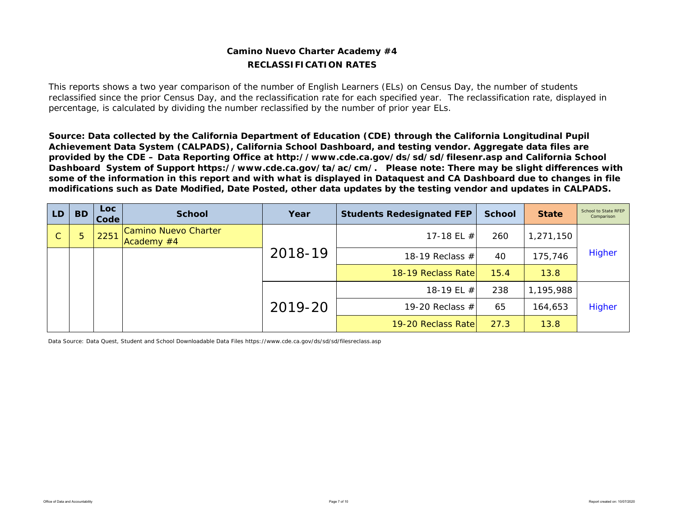### **Camino Nuevo Charter Academy #4 RECLASSIFICATION RATES**

This reports shows a two year comparison of the number of English Learners (ELs) on Census Day, the number of students reclassified since the prior Census Day, and the reclassification rate for each specified year. The reclassification rate, displayed in percentage, is calculated by dividing the number reclassified by the number of prior year ELs.

*Source: Data collected by the California Department of Education (CDE) through the California Longitudinal Pupil Achievement Data System (CALPADS), California School Dashboard, and testing vendor. Aggregate data files are provided by the CDE – Data Reporting Office at http://www.cde.ca.gov/ds/sd/sd/filesenr.asp and California School Dashboard System of Support https://www.cde.ca.gov/ta/ac/cm/. Please note: There may be slight differences with some of the information in this report and with what is displayed in Dataquest and CA Dashboard due to changes in file modifications such as Date Modified, Date Posted, other data updates by the testing vendor and updates in CALPADS.* 

| LD. | <b>BD</b> | Loc.<br>Code | <b>School</b>                      | Year    | <b>Students Redesignated FEP</b> | <b>School</b> | <b>State</b> | School to State RFEP<br>Comparison |
|-----|-----------|--------------|------------------------------------|---------|----------------------------------|---------------|--------------|------------------------------------|
| C   | 5         | 2251         | Camino Nuevo Charter<br>Academy #4 |         | 17-18 EL $#$                     | 260           | 1,271,150    |                                    |
|     |           |              |                                    | 2018-19 | 18-19 Reclass $#$                | 40            | 175,746      | Higher                             |
|     |           |              |                                    |         | 18-19 Reclass Rate               | 15.4          | 13.8         |                                    |
|     |           |              |                                    |         | 18-19 EL #                       | 238           | 1,195,988    |                                    |
|     |           |              |                                    | 2019-20 | 19-20 Reclass $#$                | 65            | 164,653      | Higher                             |
|     |           |              |                                    |         | 19-20 Reclass Rate               | 27.3          | 13.8         |                                    |

Data Source: Data Quest, Student and School Downloadable Data Files https://www.cde.ca.gov/ds/sd/sd/filesreclass.asp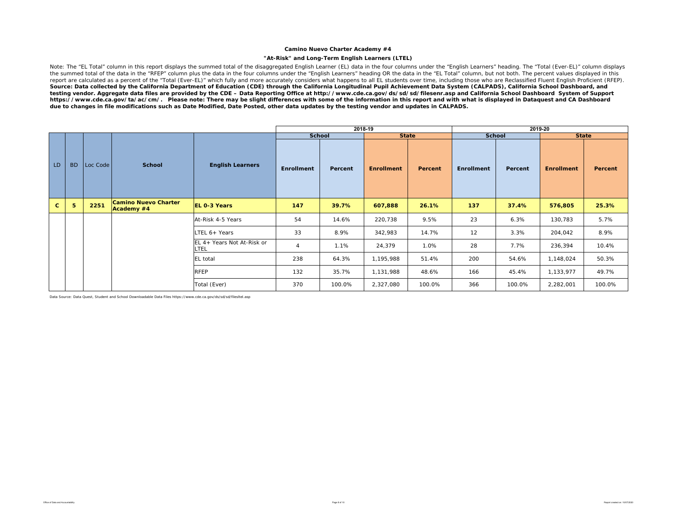#### **Camino Nuevo Charter Academy #4**

#### **"At-Risk" and Long-Term English Learners (LTEL)**

Note: The "EL Total" column in this report displays the summed total of the disaggregated English Learner (EL) data in the four columns under the "English Learners" heading. The "Total (Ever-EL)" column displays the summed total of the data in the "RFEP" column plus the data in the four columns under the "English Learners" heading OR the data in the "EL Total" column, but not both. The percent values displayed in this<br>report are c *Source: Data collected by the California Department of Education (CDE) through the California Longitudinal Pupil Achievement Data System (CALPADS), California School Dashboard, and testing vendor. Aggregate data files are provided by the CDE – Data Reporting Office at http://www.cde.ca.gov/ds/sd/sd/filesenr.asp and California School Dashboard System of Support https://www.cde.ca.gov/ta/ac/cm/. Please note: There may be slight differences with some of the information in this report and with what is displayed in Dataquest and CA Dashboard due to changes in file modifications such as Date Modified, Date Posted, other data updates by the testing vendor and updates in CALPADS.* 

|              |           |          |                                           |                                    |                   | 2018-19       |                   |         |                   |         | 2019-20           |         |
|--------------|-----------|----------|-------------------------------------------|------------------------------------|-------------------|---------------|-------------------|---------|-------------------|---------|-------------------|---------|
|              |           |          |                                           |                                    |                   | <b>School</b> | <b>State</b>      |         | <b>School</b>     |         | <b>State</b>      |         |
| LD.          | <b>BD</b> | Loc Code | <b>School</b>                             | <b>English Learners</b>            | <b>Enrollment</b> | Percent       | <b>Enrollment</b> | Percent | <b>Enrollment</b> | Percent | <b>Enrollment</b> | Percent |
| $\mathbf{C}$ | 5         | 2251     | <b>Camino Nuevo Charter</b><br>Academy #4 | <b>EL 0-3 Years</b>                | 147               | 39.7%         | 607,888           | 26.1%   | 137               | 37.4%   | 576,805           | 25.3%   |
|              |           |          |                                           | At-Risk 4-5 Years                  | 54                | 14.6%         | 220,738           | 9.5%    | 23                | 6.3%    | 130,783           | 5.7%    |
|              |           |          |                                           | LTEL 6+ Years                      | 33                | 8.9%          | 342,983           | 14.7%   | 12                | 3.3%    | 204,042           | 8.9%    |
|              |           |          |                                           | EL 4+ Years Not At-Risk or<br>LTEL | 4                 | 1.1%          | 24,379            | 1.0%    | 28                | 7.7%    | 236,394           | 10.4%   |
|              |           |          |                                           | EL total                           | 238               | 64.3%         | 1,195,988         | 51.4%   | 200               | 54.6%   | 1,148,024         | 50.3%   |
|              |           |          |                                           | <b>RFEP</b>                        | 132               | 35.7%         | 1,131,988         | 48.6%   | 166               | 45.4%   | 1,133,977         | 49.7%   |
|              |           |          |                                           | Total (Ever)                       | 370               | 100.0%        | 2,327,080         | 100.0%  | 366               | 100.0%  | 2,282,001         | 100.0%  |

Data Source: Data Quest, Student and School Downloadable Data Files https://www.cde.ca.gov/ds/sd/sd/filesltel.asp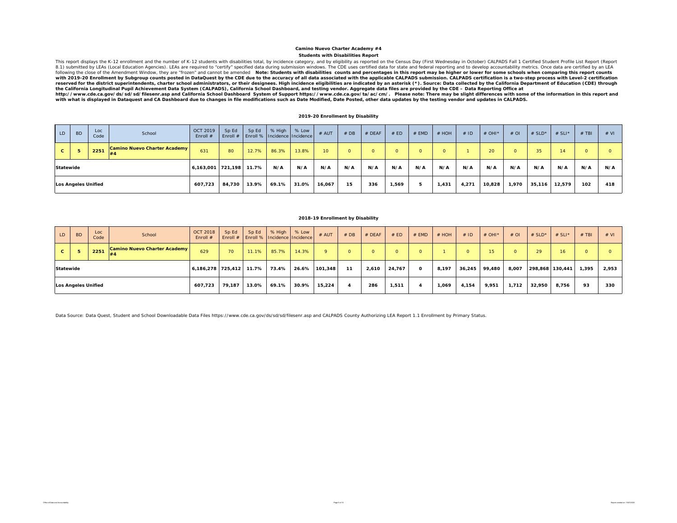#### **Students with Disabilities Report Camino Nuevo Charter Academy #4**

This report displays the K-12 enrollment and the number of K-12 students with disabilities total, by incidence category, and by eligibility as reported on the Census Day (First Wednesday in October) CALPADS Fall 1 Certifie reserved for the district superintendents, charter school administrators, or their designees. High incidence eligibilities are indicated by an asterisk (\*). Source: Data collected by the California Department of Education *the California Longitudinal Pupil Achievement Data System (CALPADS), California School Dashboard, and testing vendor. Aggregate data files are provided by the CDE – Data Reporting Office at* 

http://www.cde.ca.gov/ds/sd/sd/filesenr.asp and California School Dashboard System of Support https://www.cde.ca.gov/ta/ac/cm/. Please note: There may be slight differences with some of the information in this report an

#### **2019-20 Enrollment by Disability**

| LD                         | <b>BD</b> | Loc<br>Code | School                       | <b>OCT 2019</b><br>Enroll $#$ | Sp Ed<br>Enroll $#$ | Sp Ed | % High $\mid$ % Low<br><b>Enroll % Incidence Incidence</b> |        | # AUT           | #DB | # DEAF | # ED     | # EMD    | # HOH    | #ID    | # OHI* | #OI    | # $SLD^*$       | # $SLI^*$ | # TBI | # VI |
|----------------------------|-----------|-------------|------------------------------|-------------------------------|---------------------|-------|------------------------------------------------------------|--------|-----------------|-----|--------|----------|----------|----------|--------|--------|--------|-----------------|-----------|-------|------|
| $\mathbf{c}$               |           | 2251        | Camino Nuevo Charter Academy | 631                           | 80                  | 12.7% | 86.3%                                                      | 13.8%  | 10 <sup>1</sup> |     |        | $\Omega$ | $\Omega$ | $\Omega$ |        | 20     |        | 35 <sub>1</sub> | 14        |       |      |
| <b>Statewide</b>           |           |             |                              | 6,163,001 721,198             |                     | 11.7% | N/A                                                        | N/A    | N/A             | N/A | N/A    | N/A      | N/A      | N/A      | N/A    | N/A    | N/A    | N/A             | N/A       | N/A   | N/A  |
| <b>Los Angeles Unified</b> |           |             | 607,723                      | 84.730                        | 13.9%               | 69.1% | 31.0%                                                      | 16,067 | 15              | 336 | 1,569  | -5       | 1.431    | 4,271    | 10,828 | 1,970  | 35,116 | 12,579          | 102       | 418   |      |

#### **2018-19 Enrollment by Disability**

| LD.                        | <b>BD</b> | Loc<br>Code | School                       | <b>OCT 2018</b><br>Enroll $#$ | Sp Ed | Sp Ed | % High   % Low<br>Enroll #   Enroll %   Incidence   Incidence |        | $#$ AUT  | #DB      | $#$ DEAF | # ED   | # EMD        | # HOH | #ID     | $#$ OHI <sup>*</sup> | #OI    | # $SLD^*$       | # SLI $*$ | $#$ TBI  | # VI  |
|----------------------------|-----------|-------------|------------------------------|-------------------------------|-------|-------|---------------------------------------------------------------|--------|----------|----------|----------|--------|--------------|-------|---------|----------------------|--------|-----------------|-----------|----------|-------|
| C.                         |           | 2251        | Camino Nuevo Charter Academy | 629                           | 70    | 11.1% | 85.7%                                                         | 14.3%  | $\Omega$ | $\Omega$ | n.       |        | $\Omega$     |       | $\circ$ | 15 <sup>1</sup>      |        | 29              | 16        | $\Omega$ |       |
| Statewide                  |           |             |                              | 6,186,278 725,412             |       | 11.7% | 73.4%                                                         | 26.6%  | 101.348  | 11       | 2,610    | 24,767 | $\mathbf{o}$ | 8,197 | 36,245  | 99,480               | 8,007  | 298,868 130,441 |           | 1,395    | 2,953 |
| <b>Los Angeles Unified</b> |           |             | 607,723                      | 79.187                        | 13.0% | 69.1% | 30.9%                                                         | 15,224 |          | 286      | 1,511    |        | 1,069        | 4,154 | 9,951   | 1,712                | 32,950 | 8.756           | 93        | 330      |       |

Data Source: Data Quest, Student and School Downloadable Data Files https://www.cde.ca.gov/ds/sd/sd/filesenr.asp and CALPADS County Authorizing LEA Report 1.1 Enrollment by Primary Status.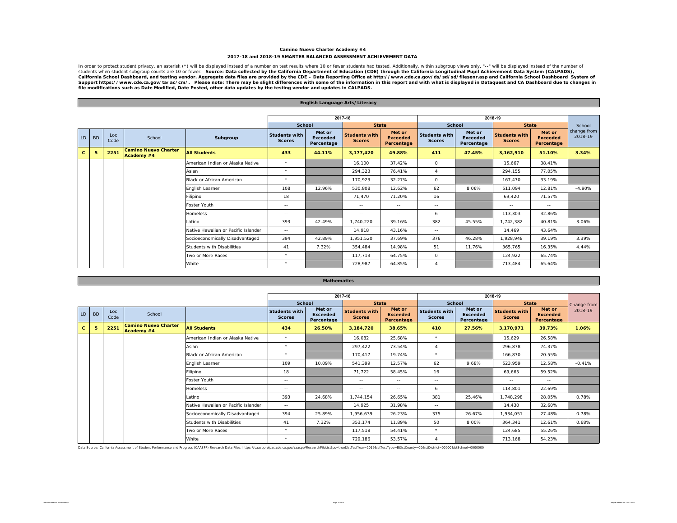#### **Camino Nuevo Charter Academy #4 2017-18 and 2018-19 SMARTER BALANCED ASSESSMENT ACHIEVEMENT DATA**

In order to protect student privacy, an asterisk (\*) will be displayed instead of a number on test results where 10 or fewer students had tested. Additionally, within subgroup views only, "--" will be displayed instead of California School Dashboard, and testing vendor. Aggregate data files are provided by the CDE – Data Reporting Office at http://www.cde.ca.gov/ds/sd/filesenr.asp and California School Dashboard System of<br>Support https://ww

|              | English Language Arts/Literacy |             |                                           |                                     |                                       |                                         |                                       |                                         |                                       |                                         |                                       |                                         |                        |  |
|--------------|--------------------------------|-------------|-------------------------------------------|-------------------------------------|---------------------------------------|-----------------------------------------|---------------------------------------|-----------------------------------------|---------------------------------------|-----------------------------------------|---------------------------------------|-----------------------------------------|------------------------|--|
|              |                                |             |                                           |                                     |                                       |                                         |                                       |                                         |                                       |                                         |                                       |                                         |                        |  |
|              |                                |             |                                           |                                     |                                       |                                         | 2017-18                               |                                         |                                       |                                         | 2018-19                               |                                         |                        |  |
|              |                                |             |                                           |                                     | School                                |                                         | <b>State</b>                          |                                         | <b>School</b>                         |                                         | <b>State</b>                          |                                         | School                 |  |
| LD           | <b>BD</b>                      | Loc<br>Code | School                                    | Subgroup                            | <b>Students with</b><br><b>Scores</b> | Met or<br><b>Exceeded</b><br>Percentage | <b>Students with</b><br><b>Scores</b> | Met or<br><b>Exceeded</b><br>Percentage | <b>Students with</b><br><b>Scores</b> | Met or<br><b>Exceeded</b><br>Percentage | <b>Students with</b><br><b>Scores</b> | Met or<br><b>Exceeded</b><br>Percentage | change from<br>2018-19 |  |
| $\mathbf{c}$ | 5                              | 2251        | <b>Camino Nuevo Charter</b><br>Academy #4 | <b>All Students</b>                 | 433                                   | 44.11%                                  | 3,177,420                             | 49.88%                                  | 411                                   | 47.45%                                  | 3,162,910                             | 51.10%                                  | 3.34%                  |  |
|              |                                |             |                                           | American Indian or Alaska Native    | $\star$                               |                                         | 16.100                                | 37.42%                                  | $\circ$                               |                                         | 15,667                                | 38.41%                                  |                        |  |
|              |                                |             |                                           | Asian                               | $\star$                               |                                         | 294,323                               | 76.41%                                  | 4                                     |                                         | 294.155                               | 77.05%                                  |                        |  |
|              |                                |             |                                           | Black or African American           | $\star$                               |                                         | 170,923                               | 32.27%                                  | $\circ$                               |                                         | 167,470                               | 33.19%                                  |                        |  |
|              |                                |             |                                           | English Learner                     | 108                                   | 12.96%                                  | 530.808                               | 12.62%                                  | 62                                    | 8.06%                                   | 511.094                               | 12.81%                                  | $-4.90%$               |  |
|              |                                |             |                                           | Filipino                            | 18                                    |                                         | 71.470                                | 71.20%                                  | 16                                    |                                         | 69.420                                | 71.57%                                  |                        |  |
|              |                                |             |                                           | Foster Youth                        | $\sim$ $\sim$                         |                                         | $\sim$ $-$                            | $\sim$ $-$                              | $\sim$ $-$                            |                                         | $\sim$ $-$                            | $\sim$ $-$                              |                        |  |
|              |                                |             |                                           | Homeless                            | $\sim$ $-$                            |                                         | $\sim$ $-$                            | $\sim$ $-$                              | 6                                     |                                         | 113,303                               | 32.86%                                  |                        |  |
|              |                                |             |                                           | Latino                              | 393                                   | 42.49%                                  | 1,740,220                             | 39.16%                                  | 382                                   | 45.55%                                  | 1,742,382                             | 40.81%                                  | 3.06%                  |  |
|              |                                |             |                                           | Native Hawaiian or Pacific Islander | $\sim$ $-$                            |                                         | 14.918                                | 43.16%                                  | $\sim$ $-$                            |                                         | 14.469                                | 43.64%                                  |                        |  |
|              |                                |             |                                           | Socioeconomically Disadvantaged     | 394                                   | 42.89%                                  | 1,951,520                             | 37.69%                                  | 376                                   | 46.28%                                  | 1,928,948                             | 39.19%                                  | 3.39%                  |  |
|              |                                |             |                                           | <b>Students with Disabilities</b>   | 41                                    | 7.32%                                   | 354,484                               | 14.98%                                  | 51                                    | 11.76%                                  | 365,765                               | 16.35%                                  | 4.44%                  |  |
|              |                                |             |                                           | Two or More Races                   | $\star$                               |                                         | 117.713                               | 64.75%                                  | $\circ$                               |                                         | 124.922                               | 65.74%                                  |                        |  |
|              |                                |             |                                           | White                               | $\star$                               |                                         | 728.987                               | 64.85%                                  | $\overline{a}$                        |                                         | 713.484                               | 65.64%                                  |                        |  |

|              |           |             |                                           |                                     |                                       | <b>Mathematics</b>                      |                                       |                                         |                                       |                                         |                                       |                                         |             |
|--------------|-----------|-------------|-------------------------------------------|-------------------------------------|---------------------------------------|-----------------------------------------|---------------------------------------|-----------------------------------------|---------------------------------------|-----------------------------------------|---------------------------------------|-----------------------------------------|-------------|
|              |           |             |                                           |                                     |                                       |                                         |                                       |                                         |                                       |                                         |                                       |                                         |             |
|              |           |             |                                           |                                     |                                       |                                         | 2017-18                               |                                         |                                       |                                         | 2018-19                               |                                         |             |
|              |           |             |                                           |                                     |                                       | <b>School</b>                           |                                       | <b>State</b>                            | <b>School</b>                         |                                         | <b>State</b>                          |                                         | Change from |
| LD           | <b>BD</b> | Loc<br>Code | School                                    |                                     | <b>Students with</b><br><b>Scores</b> | Met or<br><b>Exceeded</b><br>Percentage | <b>Students with</b><br><b>Scores</b> | Met or<br><b>Exceeded</b><br>Percentage | <b>Students with</b><br><b>Scores</b> | Met or<br><b>Exceeded</b><br>Percentage | <b>Students with</b><br><b>Scores</b> | Met or<br><b>Exceeded</b><br>Percentage | 2018-19     |
| $\mathbf{C}$ | 5         | 2251        | <b>Camino Nuevo Charter</b><br>Academy #4 | <b>All Students</b>                 | 434                                   | 26.50%                                  | 3,184,720                             | 38.65%                                  | 410                                   | 27.56%                                  | 3,170,971                             | 39.73%                                  | 1.06%       |
|              |           |             |                                           | American Indian or Alaska Native    | $\star$                               |                                         | 16,082                                | 25.68%                                  | $\star$                               |                                         | 15,629                                | 26.58%                                  |             |
|              |           |             |                                           | Asian                               | $\star$                               |                                         | 297,422                               | 73.54%                                  | $\overline{4}$                        |                                         | 296,878                               | 74.37%                                  |             |
|              |           |             |                                           | Black or African American           | $\star$                               |                                         | 170,417                               | 19.74%                                  | $\star$                               |                                         | 166,870                               | 20.55%                                  |             |
|              |           |             |                                           | English Learner                     | 109                                   | 10.09%                                  | 541,399                               | 12.57%                                  | 62                                    | 9.68%                                   | 523,959                               | 12.58%                                  | $-0.41%$    |
|              |           |             |                                           | Filipino                            | 18                                    |                                         | 71,722                                | 58.45%                                  | 16                                    |                                         | 69.665                                | 59.52%                                  |             |
|              |           |             |                                           | Foster Youth                        | $- -$                                 |                                         | $\sim$ $-$                            | $- -$                                   | $\sim$ $-$                            |                                         | $\sim$ $-$                            | $\sim$ $-$                              |             |
|              |           |             |                                           | <b>Homeless</b>                     | $\sim$ $-$                            |                                         | $\sim$ $-$                            | $\sim$ $-$                              | 6                                     |                                         | 114,801                               | 22.69%                                  |             |
|              |           |             |                                           | Latino                              | 393                                   | 24.68%                                  | 1.744.154                             | 26.65%                                  | 381                                   | 25.46%                                  | 1.748.298                             | 28.05%                                  | 0.78%       |
|              |           |             |                                           | Native Hawaiian or Pacific Islander | $\sim$ $-$                            |                                         | 14.925                                | 31.98%                                  | $\sim$ $-$                            |                                         | 14,430                                | 32.60%                                  |             |
|              |           |             |                                           | Socioeconomically Disadvantaged     | 394                                   | 25.89%                                  | 1,956,639                             | 26.23%                                  | 375                                   | 26.67%                                  | 1,934,051                             | 27.48%                                  | 0.78%       |
|              |           |             |                                           | Students with Disabilities          | 41                                    | 7.32%                                   | 353,174                               | 11.89%                                  | 50                                    | 8.00%                                   | 364,341                               | 12.61%                                  | 0.68%       |
|              |           |             |                                           | Two or More Races                   | $\star$                               |                                         | 117,518                               | 54.41%                                  | $\star$                               |                                         | 124,685                               | 55.26%                                  |             |
|              |           |             |                                           | White                               | $\ddot{}$                             |                                         | 729.186                               | 53.57%                                  | $\overline{4}$                        |                                         | 713,168                               | 54.23%                                  |             |

Data Source: California Assessment of Student Performance and Progress (CAASPP) Research Data Files. https://caaspp-elpac.cde.ca.gov/caaspp/ResearchFileList?ps=true&istTestYear=2019&istTestType=B&istCounty=00&istDistrict=0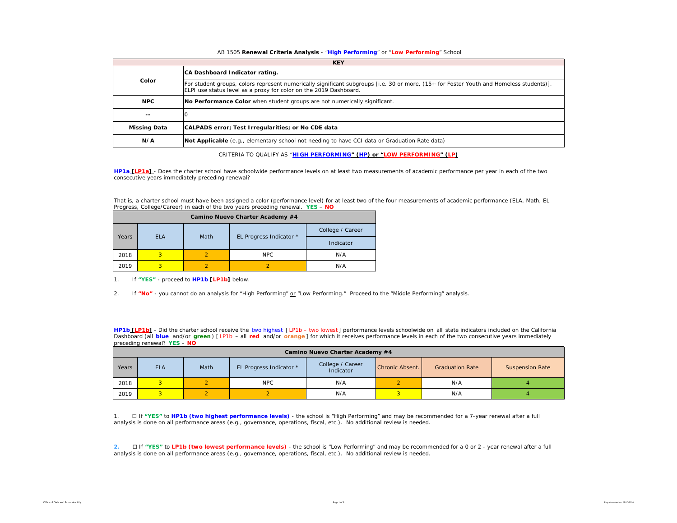#### AB 1505 **Renewal Criteria Analysis** - "**High Performing**" or "**Low Performing**" School

|                     | <b>KEY</b>                                                                                                                                                                                                   |  |  |  |  |  |  |  |  |  |
|---------------------|--------------------------------------------------------------------------------------------------------------------------------------------------------------------------------------------------------------|--|--|--|--|--|--|--|--|--|
|                     | CA Dashboard Indicator rating.                                                                                                                                                                               |  |  |  |  |  |  |  |  |  |
| Color               | For student groups, colors represent numerically significant subgroups [i.e. 30 or more, (15+ for Foster Youth and Homeless students)].<br>ELPI use status level as a proxy for color on the 2019 Dashboard. |  |  |  |  |  |  |  |  |  |
| <b>NPC</b>          | No Performance Color when student groups are not numerically significant.                                                                                                                                    |  |  |  |  |  |  |  |  |  |
| --                  |                                                                                                                                                                                                              |  |  |  |  |  |  |  |  |  |
| <b>Missing Data</b> | CALPADS error; Test Irregularities; or No CDE data                                                                                                                                                           |  |  |  |  |  |  |  |  |  |
| N/A                 | Not Applicable (e.g., elementary school not needing to have CCI data or Graduation Rate data)                                                                                                                |  |  |  |  |  |  |  |  |  |

CRITERIA TO QUALIFY AS "**HIGH PERFORMING" (HP) or "LOW PERFORMING" (LP)**

**HP1a [LP1a]** - *Does the charter school have schoolwide performance levels on at least two measurements of academic performance per year in each of the two consecutive years immediately preceding renewal?* 

That is, a charter school must have been assigned a color (performance level) for at least two of the four measurements of academic performance (ELA, Math, EL Progress, College/Career) in each of the two years preceding renewal. **YES** – **NO**

|       | Camino Nuevo Charter Academy #4 |      |                         |                  |  |  |  |  |  |  |  |  |  |
|-------|---------------------------------|------|-------------------------|------------------|--|--|--|--|--|--|--|--|--|
|       |                                 |      |                         | College / Career |  |  |  |  |  |  |  |  |  |
| Years | <b>ELA</b>                      | Math | EL Progress Indicator * | Indicator        |  |  |  |  |  |  |  |  |  |
| 2018  | 3                               |      | NPC                     | N/A              |  |  |  |  |  |  |  |  |  |
| 2019  |                                 |      |                         | N/A              |  |  |  |  |  |  |  |  |  |

1. If **"YES"** - proceed to **HP1b [LP1b]** below.

2. If **"No"** - you cannot do an analysis for "High Performing" or "Low Performing." Proceed to the "Middle Performing" analysis.

**HP1b [LP1b]** - *Did the charter school receive the two highest [ LP1b – two lowest ] performance levels schoolwide on all state indicators included on the California*  Dashboard (all blue and/or green) [LP1b - all red and/or orange] for which it receives performance levels in each of the two consecutive years immediately *preceding renewal?* **YES** – **NO**

|       | Camino Nuevo Charter Academy #4 |      |                         |                               |                 |                        |                        |  |  |  |  |  |  |  |
|-------|---------------------------------|------|-------------------------|-------------------------------|-----------------|------------------------|------------------------|--|--|--|--|--|--|--|
| Years | <b>ELA</b>                      | Math | EL Progress Indicator * | College / Career<br>Indicator | Chronic Absent. | <b>Graduation Rate</b> | <b>Suspension Rate</b> |  |  |  |  |  |  |  |
| 2018  | 2.                              |      | <b>NPC</b>              | N/A                           |                 | N/A                    |                        |  |  |  |  |  |  |  |
| 2019  |                                 |      |                         | N/A                           |                 | N/A                    |                        |  |  |  |  |  |  |  |

1. ☐ If **"YES"** to **HP1b (two highest performance levels)** - the school is "High Performing" and may be recommended for a 7-year renewal after a full analysis is done on all performance areas (e.g., governance, operations, fiscal, etc.). No additional review is needed.

**2.** ☐ If **"YES"** to **LP1b (two lowest performance levels)** - the school is "Low Performing" and may be recommended for a 0 or 2 - year renewal after a full analysis is done on all performance areas (e.g., governance, operations, fiscal, etc.). No additional review is needed.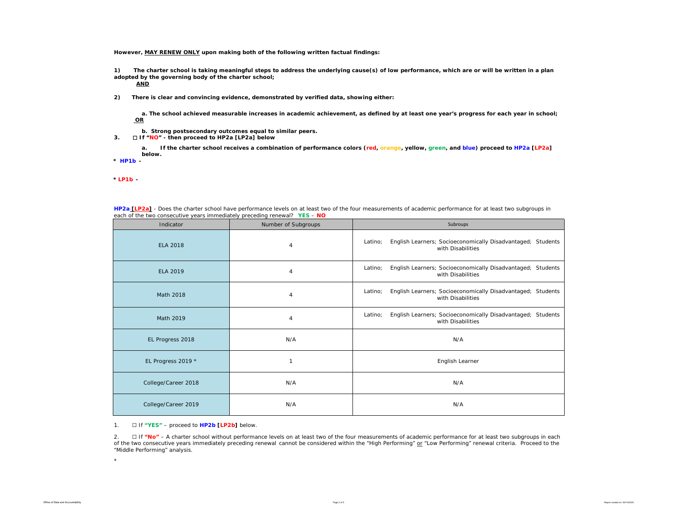**However, MAY RENEW ONLY upon making both of the following written factual findings:**

**1) The charter school is taking meaningful steps to address the underlying cause(s) of low performance, which are or will be written in a plan adopted by the governing body of the charter school;** 

**AND**

**2) There is clear and convincing evidence, demonstrated by verified data, showing either:**

**a. The school achieved measurable increases in academic achievement, as defined by at least one year's progress for each year in school; OR**

- **b. Strong postsecondary outcomes equal to similar peers.**
- **3.** ☐ **If "NO" then proceed to HP2a [LP2a] below**

**a. If the charter school receives a combination of performance colors (red, orange, yellow, green, and blue) proceed to HP2a [LP2a] below.** 

**\*** *HP1b -* 

*\* LP1b -* 

| cach or the two consecutive years immediately preceding renewar: <b>TES</b> - <b>NO</b><br>Indicator | Number of Subgroups | Subroups                                                                                    |
|------------------------------------------------------------------------------------------------------|---------------------|---------------------------------------------------------------------------------------------|
| <b>ELA 2018</b>                                                                                      | 4                   | English Learners; Socioeconomically Disadvantaged; Students<br>Latino;<br>with Disabilities |
| <b>ELA 2019</b>                                                                                      | 4                   | English Learners; Socioeconomically Disadvantaged; Students<br>Latino;<br>with Disabilities |
| Math 2018                                                                                            | $\overline{4}$      | English Learners; Socioeconomically Disadvantaged; Students<br>Latino;<br>with Disabilities |
| Math 2019                                                                                            | 4                   | English Learners; Socioeconomically Disadvantaged; Students<br>Latino;<br>with Disabilities |
| EL Progress 2018                                                                                     | N/A                 | N/A                                                                                         |
| EL Progress 2019 *                                                                                   | 1                   | English Learner                                                                             |
| College/Career 2018                                                                                  | N/A                 | N/A                                                                                         |
| College/Career 2019                                                                                  | N/A                 | N/A                                                                                         |

**HP2a [LP2a]** - *Does the charter school have performance levels on at least two of the four measurements of academic performance for at least two subgroups in each of the two consecutive years immediately preceding renewal?* **YES** – **NO**

1. ☐ If **"YES"** – proceed to **HP2b [LP2b]** below.

2. ☐ If **"No"** – A charter school without *performance levels on at least two of the four measurements of academic performance for at least two subgroups in each of the two consecutive years immediately preceding renewal* cannot be considered within the "High Performing" or "Low Performing" renewal criteria. Proceed to the "Middle Performing" analysis.

 $\mathbf{r}$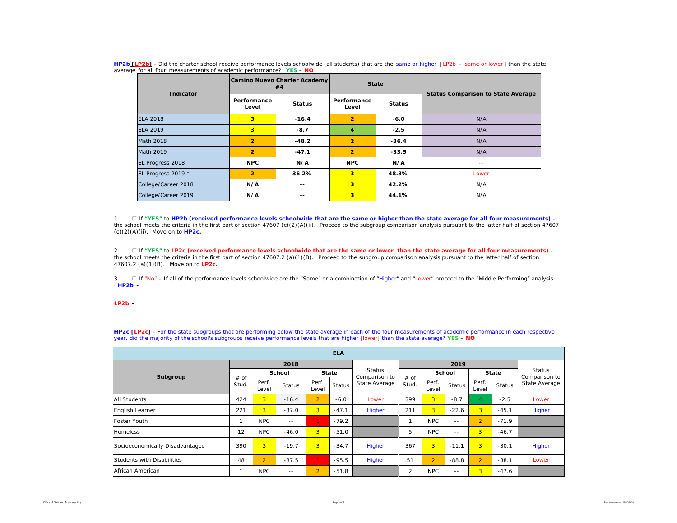| Indicator           |                         | Camino Nuevo Charter Academy<br>#4 | <b>State</b>         |               |                                           |
|---------------------|-------------------------|------------------------------------|----------------------|---------------|-------------------------------------------|
|                     | Performance<br>Level    | <b>Status</b>                      | Performance<br>Level | <b>Status</b> | <b>Status Comparison to State Average</b> |
| <b>ELA 2018</b>     | 3 <sup>1</sup>          | $-16.4$                            | $\overline{2}$       | $-6.0$        | N/A                                       |
| <b>ELA 2019</b>     | $\overline{\mathbf{3}}$ | $-8.7$                             | 4                    | $-2.5$        | N/A                                       |
| Math 2018           | $\overline{2}$          | $-48.2$                            | $\overline{2}$       | $-36.4$       | N/A                                       |
| Math 2019           | $\overline{2}$          | $-47.1$                            | $\overline{2}$       | $-33.5$       | N/A                                       |
| EL Progress 2018    | <b>NPC</b>              | N/A                                | <b>NPC</b>           | N/A           | $- -$                                     |
| EL Progress 2019 *  | $\overline{2}$          | 36.2%                              | 3                    | 48.3%         | Lower                                     |
| College/Career 2018 | N/A                     | $- -$                              | 3                    | 42.2%         | N/A                                       |
| College/Career 2019 | N/A                     | $ -$                               | 3                    | 44.1%         | N/A                                       |

**HP2b [LP2b]** - *Did the charter school receive performance levels schoolwide (all students) that are the same or higher [ LP2b – same or lower ] than the state average for all four measurements of academic performance?* **YES** – **NO**

1. ☐ If **"YES"** to **HP2b (received performance levels schoolwide that are the same or higher than the state average for all four measurements)**  the school meets the criteria in the first part of section 47607 (c)(2)(A)(ii). Proceed to the subgroup comparison analysis pursuant to the latter half of section 47607 (c)(2)(A)(ii). Move on to **HP2c.**

2. ☐ If **"YES"** to **LP2c (received performance levels schoolwide that are the same or lower than the state average for all four measurements)** the school meets the criteria in the first part of section 47607.2 (a)(1)(B). Proceed to the subgroup comparison analysis pursuant to the latter half of section 47607.2 (a)(1)(B). Move on to **LP2c.**

3. □ If "No" – If all of the performance levels schoolwide are the "Same" or a combination of "Higher" and "Lower" proceed to the "Middle Performing" analysis. \* *HP2b -* 

#### \**LP2b -*

**HP2c [LP2c]** - For the state subgroups that are performing below the state average in each of the four measurements of academic performance in each respective year, did the majority of the school's subgroups receive performance levels that are higher [lower] than the state average? **YES** – **NO**

| <b>ELA</b>                      |               |                |               |                |         |                                |               |                |               |                |               |                                |
|---------------------------------|---------------|----------------|---------------|----------------|---------|--------------------------------|---------------|----------------|---------------|----------------|---------------|--------------------------------|
|                                 |               |                | 2018          |                |         |                                |               |                |               |                |               |                                |
| Subgroup                        | # of<br>Stud. | School         |               | <b>State</b>   |         | <b>Status</b><br>Comparison to |               | School         |               | <b>State</b>   |               | <b>Status</b><br>Comparison to |
|                                 |               | Perf.<br>Level | <b>Status</b> | Perf.<br>Level | Status  | State Average                  | # of<br>Stud. | Perf.<br>Level | <b>Status</b> | Perf.<br>Level | <b>Status</b> | State Average                  |
| <b>All Students</b>             | 424           | $\overline{3}$ | $-16.4$       | $\overline{2}$ | $-6.0$  | Lower                          | 399           | $\overline{3}$ | $-8.7$        |                | $-2.5$        | Lower                          |
| <b>English Learner</b>          | 221           | $\overline{3}$ | $-37.0$       | 3 <sup>1</sup> | $-47.1$ | Higher                         | 211           | 3 <sup>1</sup> | $-22.6$       | 3 <sup>1</sup> | $-45.1$       | Higher                         |
| <b>Foster Youth</b>             |               | <b>NPC</b>     | $- -$         | 1.             | $-79.2$ |                                | ٠             | <b>NPC</b>     | $\frac{1}{2}$ | $\overline{2}$ | $-71.9$       |                                |
| Homeless                        | 12            | <b>NPC</b>     | $-46.0$       | 3 <sup>1</sup> | $-51.0$ |                                | 5             | <b>NPC</b>     | $\frac{1}{2}$ | 3 <sup>1</sup> | $-46.7$       |                                |
| Socioeconomically Disadvantaged | 390           | $\overline{3}$ | $-19.7$       | 3 <sup>1</sup> | $-34.7$ | Higher                         | 367           | 3 <sup>1</sup> | $-11.1$       | $\overline{3}$ | $-30.1$       | Higher                         |
| Students with Disabilities      | 48            | $\overline{2}$ | $-87.5$       | 1.             | $-95.5$ | Higher                         | 51            | $\overline{2}$ | $-88.8$       | $\overline{2}$ | $-88.1$       | Lower                          |
| African American                |               | <b>NPC</b>     | $- -$         | $\overline{2}$ | $-51.8$ |                                | 2             | <b>NPC</b>     | $- -$         | 3 <sup>1</sup> | $-47.6$       |                                |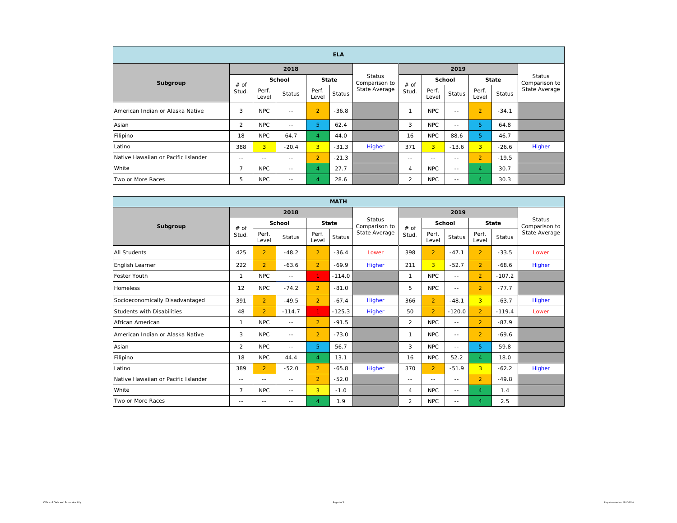| <b>ELA</b>                          |                |                |               |                |         |                                |                |                         |               |                |               |               |
|-------------------------------------|----------------|----------------|---------------|----------------|---------|--------------------------------|----------------|-------------------------|---------------|----------------|---------------|---------------|
| Subgroup                            |                |                | 2018          |                |         |                                |                | Status<br>Comparison to |               |                |               |               |
|                                     | # of<br>Stud.  | <b>School</b>  |               | <b>State</b>   |         | <b>Status</b><br>Comparison to | # of           |                         | <b>School</b> |                | <b>State</b>  |               |
|                                     |                | Perf.<br>Level | <b>Status</b> | Perf.<br>Level | Status  | State Average                  | Stud.          | Perf.<br>Level          | <b>Status</b> | Perf.<br>Level | <b>Status</b> | State Average |
| American Indian or Alaska Native    | 3              | <b>NPC</b>     | $- -$         | $\overline{2}$ | $-36.8$ |                                |                | <b>NPC</b>              | $= -$         | $\overline{2}$ | $-34.1$       |               |
| Asian                               | $\overline{2}$ | <b>NPC</b>     | $\frac{1}{2}$ | 5              | 62.4    |                                | 3              | <b>NPC</b>              | $\frac{1}{2}$ | 5              | 64.8          |               |
| Filipino                            | 18             | <b>NPC</b>     | 64.7          | $\overline{4}$ | 44.0    |                                | 16             | <b>NPC</b>              | 88.6          | 5              | 46.7          |               |
| Latino                              | 388            | $\overline{3}$ | $-20.4$       | $\overline{3}$ | $-31.3$ | Higher                         | 371            | 3 <sup>1</sup>          | $-13.6$       | 3 <sup>1</sup> | $-26.6$       | Higher        |
| Native Hawaiian or Pacific Islander | $- -$          | $- -$          | $\frac{1}{2}$ | $\overline{2}$ | $-21.3$ |                                | $- -$          | $- -$                   | $- -$         | $\overline{2}$ | $-19.5$       |               |
| White                               | $\overline{7}$ | <b>NPC</b>     | $\frac{1}{2}$ | $\overline{4}$ | 27.7    |                                | $\overline{4}$ | <b>NPC</b>              | $\frac{1}{2}$ | $\overline{4}$ | 30.7          |               |
| Two or More Races                   | 5              | <b>NPC</b>     | $\frac{1}{2}$ | 4              | 28.6    |                                | 2              | <b>NPC</b>              | $\frac{1}{2}$ | 4              | 30.3          |               |

| <b>MATH</b>                         |                |                |               |                |               |                                |                |                |               |                |               |                                |
|-------------------------------------|----------------|----------------|---------------|----------------|---------------|--------------------------------|----------------|----------------|---------------|----------------|---------------|--------------------------------|
|                                     |                |                | 2018          |                |               |                                |                |                |               |                |               |                                |
| Subgroup                            | # of<br>Stud.  | School         |               | <b>State</b>   |               | <b>Status</b><br>Comparison to | $#$ of         | <b>School</b>  |               | <b>State</b>   |               | <b>Status</b><br>Comparison to |
|                                     |                | Perf.<br>Level | <b>Status</b> | Perf.<br>Level | <b>Status</b> | State Average                  | Stud.          | Perf.<br>Level | <b>Status</b> | Perf.<br>Level | <b>Status</b> | State Average                  |
| <b>All Students</b>                 | 425            | $\overline{2}$ | $-48.2$       | $\overline{2}$ | $-36.4$       | Lower                          | 398            | $\overline{2}$ | $-47.1$       | $\overline{2}$ | $-33.5$       | Lower                          |
| English Learner                     | 222            | $\overline{2}$ | $-63.6$       | $\overline{2}$ | $-69.9$       | <b>Higher</b>                  | 211            | $\overline{3}$ | $-52.7$       | $\overline{2}$ | $-68.6$       | Higher                         |
| Foster Youth                        | 1              | NPC            | $\sim$ $-$    | $\mathbf{1}$   | $-114.0$      |                                | 1              | <b>NPC</b>     | $\sim$ $-$    | $\overline{2}$ | $-107.2$      |                                |
| Homeless                            | 12             | <b>NPC</b>     | $-74.2$       | $\overline{2}$ | $-81.0$       |                                | 5              | NPC            | $\sim$ $-$    | $\overline{2}$ | $-77.7$       |                                |
| Socioeconomically Disadvantaged     | 391            | $\overline{2}$ | $-49.5$       | $\overline{2}$ | $-67.4$       | Higher                         | 366            | $\overline{2}$ | $-48.1$       | $\overline{3}$ | $-63.7$       | Higher                         |
| Students with Disabilities          | 48             | $\overline{2}$ | $-114.7$      | $\mathbf{1}$   | $-125.3$      | Higher                         | 50             | $\overline{2}$ | $-120.0$      | $\overline{2}$ | $-119.4$      | Lower                          |
| African American                    | 1              | NPC            | $\sim$ $-$    | $\overline{2}$ | $-91.5$       |                                | $\overline{2}$ | <b>NPC</b>     | $\sim$ $-$    | $\overline{2}$ | $-87.9$       |                                |
| American Indian or Alaska Native    | 3              | NPC            | $-1$          | $\overline{2}$ | $-73.0$       |                                | 1              | NPC            | $\sim$ $-$    | $\overline{2}$ | $-69.6$       |                                |
| Asian                               | 2              | NPC            | $-1$          | 5              | 56.7          |                                | 3              | <b>NPC</b>     | $- -$         | 5.             | 59.8          |                                |
| Filipino                            | 18             | <b>NPC</b>     | 44.4          | $\overline{4}$ | 13.1          |                                | 16             | <b>NPC</b>     | 52.2          | $\overline{4}$ | 18.0          |                                |
| Latino                              | 389            | $\overline{2}$ | $-52.0$       | $\overline{2}$ | $-65.8$       | Higher                         | 370            | $\overline{2}$ | $-51.9$       | $\overline{3}$ | $-62.2$       | Higher                         |
| Native Hawaiian or Pacific Islander | $\sim$ $-$     | $-1$           | $\sim$ $-$    | $\overline{2}$ | $-52.0$       |                                | $\sim$ $-$     | $\sim$ $-$     | $\sim$ $-$    | $\overline{2}$ | $-49.8$       |                                |
| White                               | $\overline{7}$ | NPC            | $-$           | 3              | $-1.0$        |                                | 4              | <b>NPC</b>     | $\sim$ $-$    | $\overline{4}$ | 1.4           |                                |
| Two or More Races                   | $\frac{1}{2}$  | $- -$          | $- -$         | $\overline{4}$ | 1.9           |                                | $\overline{2}$ | <b>NPC</b>     | $\frac{1}{2}$ | $\overline{4}$ | 2.5           |                                |